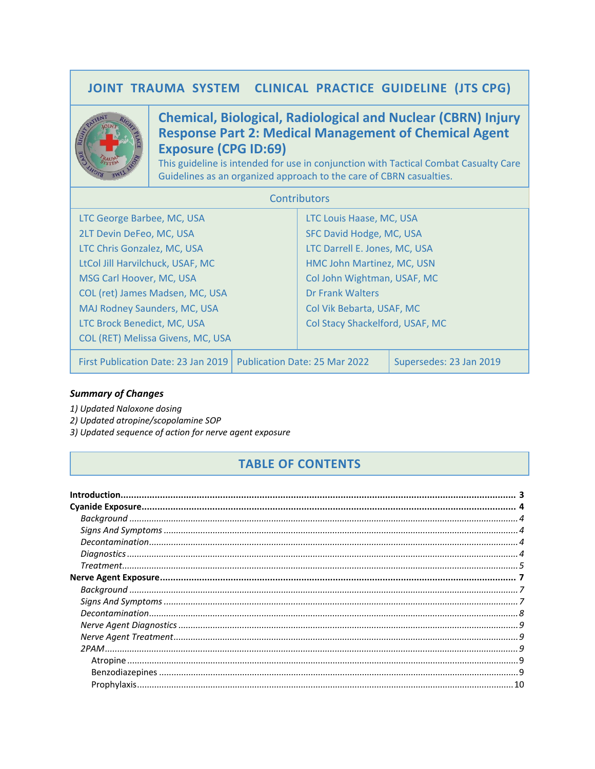# JOINT TRAUMA SYSTEM CLINICAL PRACTICE GUIDELINE (JTS CPG)



# **Chemical, Biological, Radiological and Nuclear (CBRN) Injury Response Part 2: Medical Management of Chemical Agent Exposure (CPG ID:69)**

This guideline is intended for use in conjunction with Tactical Combat Casualty Care Guidelines as an organized approach to the care of CBRN casualties.

| <b>Contributors</b>                 |  |                                 |                         |
|-------------------------------------|--|---------------------------------|-------------------------|
| LTC George Barbee, MC, USA          |  | LTC Louis Haase, MC, USA        |                         |
| 2LT Devin DeFeo, MC, USA            |  | SFC David Hodge, MC, USA        |                         |
| LTC Chris Gonzalez, MC, USA         |  | LTC Darrell E. Jones, MC, USA   |                         |
| LtCol Jill Harvilchuck, USAF, MC    |  | HMC John Martinez, MC, USN      |                         |
| MSG Carl Hoover, MC, USA            |  | Col John Wightman, USAF, MC     |                         |
| COL (ret) James Madsen, MC, USA     |  | Dr Frank Walters                |                         |
| MAJ Rodney Saunders, MC, USA        |  | Col Vik Bebarta, USAF, MC       |                         |
| LTC Brock Benedict, MC, USA         |  | Col Stacy Shackelford, USAF, MC |                         |
| COL (RET) Melissa Givens, MC, USA   |  |                                 |                         |
| First Publication Date: 23 Jan 2019 |  | Publication Date: 25 Mar 2022   | Supersedes: 23 Jan 2019 |

## **Summary of Changes**

- 1) Updated Naloxone dosing
- 2) Updated atropine/scopolamine SOP
- 3) Updated sequence of action for nerve agent exposure

# **TABLE OF CONTENTS**

| $Diagonostics \  \, \ldots \  \, \ldots \  \, \ldots \  \, \ldots \  \, \ldots \  \, \ldots \  \, \ldots \  \, \ldots \  \, \ldots \  \, \ldots \  \, \ldots \  \, \ldots \  \, \ldots \  \, \ldots \  \, \ldots \  \, \ldots \  \, \ldots \  \, \ldots \  \, \ldots \  \, \ldots \  \, \ldots \  \, \ldots \  \, \ldots \  \, \ldots \  \, \ldots \  \, \ldots \  \, \ldots \  \, \ldots \  \, \ldots \  \, \ldots \  \, \ld$ |  |
|--------------------------------------------------------------------------------------------------------------------------------------------------------------------------------------------------------------------------------------------------------------------------------------------------------------------------------------------------------------------------------------------------------------------------------|--|
|                                                                                                                                                                                                                                                                                                                                                                                                                                |  |
|                                                                                                                                                                                                                                                                                                                                                                                                                                |  |
|                                                                                                                                                                                                                                                                                                                                                                                                                                |  |
|                                                                                                                                                                                                                                                                                                                                                                                                                                |  |
|                                                                                                                                                                                                                                                                                                                                                                                                                                |  |
|                                                                                                                                                                                                                                                                                                                                                                                                                                |  |
|                                                                                                                                                                                                                                                                                                                                                                                                                                |  |
|                                                                                                                                                                                                                                                                                                                                                                                                                                |  |
|                                                                                                                                                                                                                                                                                                                                                                                                                                |  |
|                                                                                                                                                                                                                                                                                                                                                                                                                                |  |
|                                                                                                                                                                                                                                                                                                                                                                                                                                |  |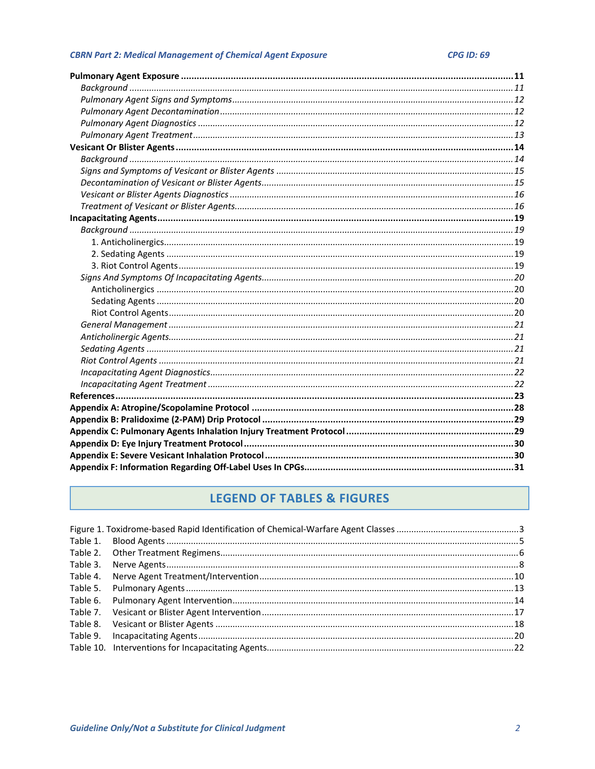# **LEGEND OF TABLES & FIGURES**

| Table 3. |  |
|----------|--|
| Table 4. |  |
|          |  |
|          |  |
|          |  |
|          |  |
|          |  |
|          |  |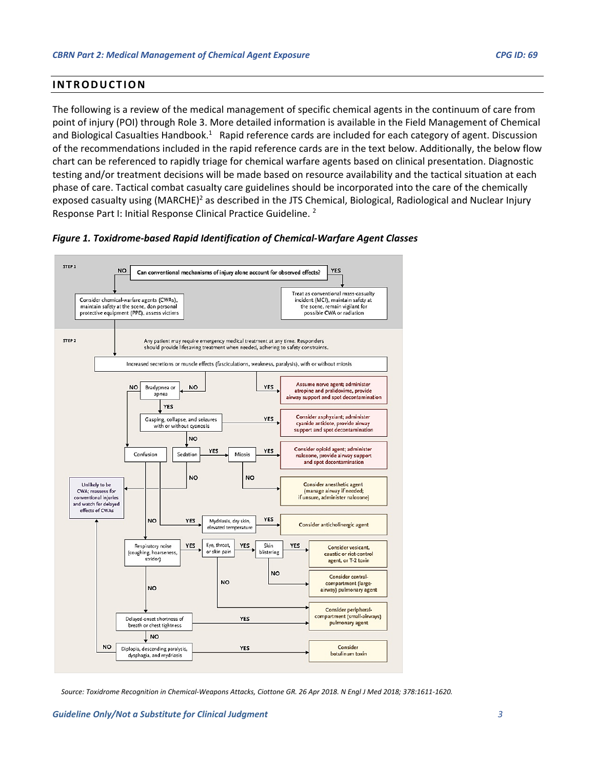## <span id="page-2-0"></span>**INTRODUCTION**

The following is a review of the medical management of specific chemical agents in the continuum of care from point of injury (POI) through Role 3. More detailed information is available in the Field Management of Chemical and Biological Casualties Handbook.<sup>1</sup> Rapid reference cards are included for each category of agent. Discussion of the recommendations included in the rapid reference cards are in the text below. Additionally, the below flow chart can be referenced to rapidly triage for chemical warfare agents based on clinical presentation. Diagnostic testing and/or treatment decisions will be made based on resource availability and the tactical situation at each phase of care. Tactical combat casualty care guidelines should be incorporated into the care of the chemically exposed casualty using (MARCHE)<sup>2</sup> as described in the JTS Chemical, Biological, Radiological and Nuclear Injury Response Part I: Initial Response Clinical Practice Guideline. 2



<span id="page-2-1"></span>

*Source: Toxidrome Recognition in Chemical-Weapons Attacks, Ciottone GR. 26 Apr 2018. N Engl J Med 2018; 378:1611-1620.*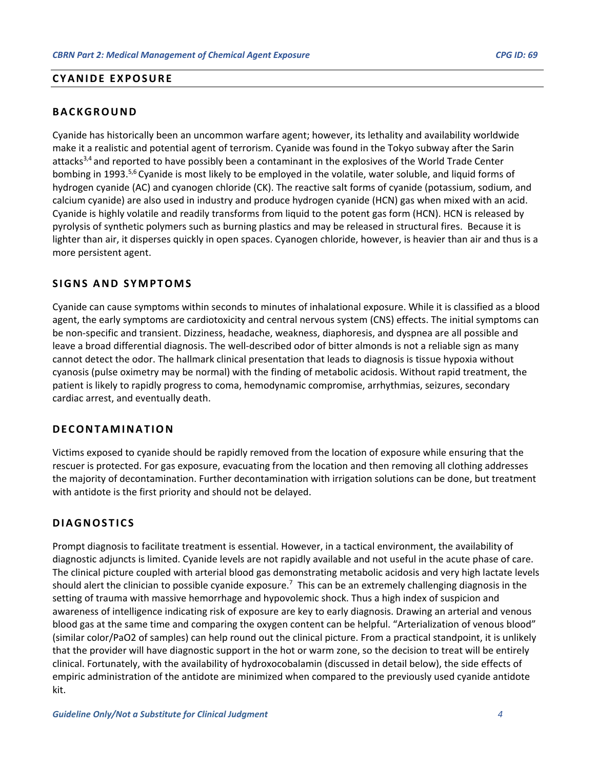## <span id="page-3-0"></span>**CYANIDE EXPOSURE**

# <span id="page-3-1"></span>**BACKGROUND**

Cyanide has historically been an uncommon warfare agent; however, its lethality and availability worldwide make it a realistic and potential agent of terrorism. Cyanide was found in the Tokyo subway after the Sarin attacks3,4 and reported to have possibly been a contaminant in the explosives of the World Trade Center bombing in 1993.<sup>5,6</sup> Cyanide is most likely to be employed in the volatile, water soluble, and liquid forms of hydrogen cyanide (AC) and cyanogen chloride (CK). The reactive salt forms of cyanide (potassium, sodium, and calcium cyanide) are also used in industry and produce hydrogen cyanide (HCN) gas when mixed with an acid. Cyanide is highly volatile and readily transforms from liquid to the potent gas form (HCN). HCN is released by pyrolysis of synthetic polymers such as burning plastics and may be released in structural fires. Because it is lighter than air, it disperses quickly in open spaces. Cyanogen chloride, however, is heavier than air and thus is a more persistent agent.

## <span id="page-3-2"></span>**SIGNS AND SYMPTOMS**

Cyanide can cause symptoms within seconds to minutes of inhalational exposure. While it is classified as a blood agent, the early symptoms are cardiotoxicity and central nervous system (CNS) effects. The initial symptoms can be non-specific and transient. Dizziness, headache, weakness, diaphoresis, and dyspnea are all possible and leave a broad differential diagnosis. The well-described odor of bitter almonds is not a reliable sign as many cannot detect the odor. The hallmark clinical presentation that leads to diagnosis is tissue hypoxia without cyanosis (pulse oximetry may be normal) with the finding of metabolic acidosis. Without rapid treatment, the patient is likely to rapidly progress to coma, hemodynamic compromise, arrhythmias, seizures, secondary cardiac arrest, and eventually death.

## <span id="page-3-3"></span>**DECONTAMINATION**

Victims exposed to cyanide should be rapidly removed from the location of exposure while ensuring that the rescuer is protected. For gas exposure, evacuating from the location and then removing all clothing addresses the majority of decontamination. Further decontamination with irrigation solutions can be done, but treatment with antidote is the first priority and should not be delayed.

# <span id="page-3-4"></span>**DIAGNOSTICS**

Prompt diagnosis to facilitate treatment is essential. However, in a tactical environment, the availability of diagnostic adjuncts is limited. Cyanide levels are not rapidly available and not useful in the acute phase of care. The clinical picture coupled with arterial blood gas demonstrating metabolic acidosis and very high lactate levels should alert the clinician to possible cyanide exposure.<sup>7</sup> This can be an extremely challenging diagnosis in the setting of trauma with massive hemorrhage and hypovolemic shock. Thus a high index of suspicion and awareness of intelligence indicating risk of exposure are key to early diagnosis. Drawing an arterial and venous blood gas at the same time and comparing the oxygen content can be helpful. "Arterialization of venous blood" (similar color/PaO2 of samples) can help round out the clinical picture. From a practical standpoint, it is unlikely that the provider will have diagnostic support in the hot or warm zone, so the decision to treat will be entirely clinical. Fortunately, with the availability of hydroxocobalamin (discussed in detail below), the side effects of empiric administration of the antidote are minimized when compared to the previously used cyanide antidote kit.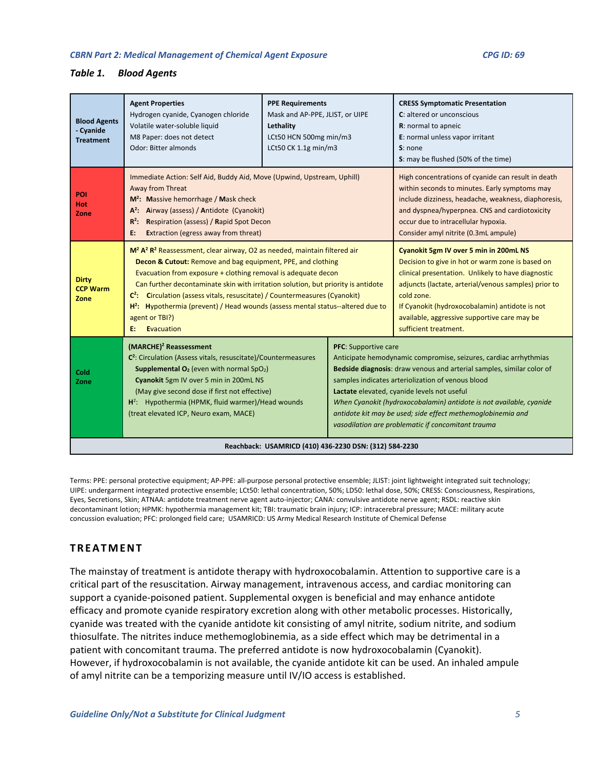#### <span id="page-4-1"></span>*Table 1. Blood Agents*

| <b>Blood Agents</b><br>- Cyanide<br><b>Treatment</b> | <b>Agent Properties</b><br>Hydrogen cyanide, Cyanogen chloride<br>Volatile water-soluble liquid<br>M8 Paper: does not detect<br>Odor: Bitter almonds                                                                                                                                                                                                                                                                  | <b>PPE Requirements</b><br>Mask and AP-PPE, JLIST, or UIPE<br>Lethality<br>LCt50 HCN 500mg min/m3<br>LCt50 CK 1.1g min/m3                                                                                                                                                                                                                                                                                                                                                                         |                                                                                                                                                                                                                                                                                                                                                                                                                                           | <b>CRESS Symptomatic Presentation</b><br>C: altered or unconscious<br>R: normal to apneic<br>E: normal unless vapor irritant<br>S: none<br>S: may be flushed (50% of the time)                                                                                                                                                                    |
|------------------------------------------------------|-----------------------------------------------------------------------------------------------------------------------------------------------------------------------------------------------------------------------------------------------------------------------------------------------------------------------------------------------------------------------------------------------------------------------|---------------------------------------------------------------------------------------------------------------------------------------------------------------------------------------------------------------------------------------------------------------------------------------------------------------------------------------------------------------------------------------------------------------------------------------------------------------------------------------------------|-------------------------------------------------------------------------------------------------------------------------------------------------------------------------------------------------------------------------------------------------------------------------------------------------------------------------------------------------------------------------------------------------------------------------------------------|---------------------------------------------------------------------------------------------------------------------------------------------------------------------------------------------------------------------------------------------------------------------------------------------------------------------------------------------------|
| <b>POI</b><br>Hot<br>Zone                            | Immediate Action: Self Aid, Buddy Aid, Move (Upwind, Upstream, Uphill)<br>Away from Threat<br>$M^2$ : Massive hemorrhage / Mask check<br>A <sup>2</sup> : Airway (assess) / Antidote (Cyanokit)<br>$R^2$ : Respiration (assess) / Rapid Spot Decon<br><b>Extraction (egress away from threat)</b><br>E:                                                                                                               |                                                                                                                                                                                                                                                                                                                                                                                                                                                                                                   |                                                                                                                                                                                                                                                                                                                                                                                                                                           | High concentrations of cyanide can result in death<br>within seconds to minutes. Early symptoms may<br>include dizziness, headache, weakness, diaphoresis,<br>and dyspnea/hyperpnea. CNS and cardiotoxicity<br>occur due to intracellular hypoxia.<br>Consider amyl nitrite (0.3mL ampule)                                                        |
| <b>Dirty</b><br><b>CCP Warm</b><br>Zone              | agent or TBI?)<br><b>Evacuation</b><br>E:                                                                                                                                                                                                                                                                                                                                                                             | M <sup>2</sup> A <sup>2</sup> Reassessment, clear airway, O2 as needed, maintain filtered air<br>Decon & Cutout: Remove and bag equipment, PPE, and clothing<br>Evacuation from exposure + clothing removal is adequate decon<br>Can further decontaminate skin with irritation solution, but priority is antidote<br>$C^2$ : Circulation (assess vitals, resuscitate) / Countermeasures (Cyanokit)<br>H <sup>2</sup> : Hypothermia (prevent) / Head wounds (assess mental status--altered due to |                                                                                                                                                                                                                                                                                                                                                                                                                                           | Cyanokit 5gm IV over 5 min in 200mL NS<br>Decision to give in hot or warm zone is based on<br>clinical presentation. Unlikely to have diagnostic<br>adjuncts (lactate, arterial/venous samples) prior to<br>cold zone.<br>If Cyanokit (hydroxocobalamin) antidote is not<br>available, aggressive supportive care may be<br>sufficient treatment. |
| Cold<br>Zone                                         | (MARCHE) <sup>2</sup> Reassessment<br><b>PFC:</b> Supportive care<br>C <sup>2</sup> : Circulation (Assess vitals, resuscitate)/Countermeasures<br><b>Supplemental O<sub>2</sub></b> (even with normal SpO <sub>2</sub> )<br>Cyanokit 5gm IV over 5 min in 200mL NS<br>(May give second dose if first not effective)<br>$H^2$ : Hypothermia (HPMK, fluid warmer)/Head wounds<br>(treat elevated ICP, Neuro exam, MACE) |                                                                                                                                                                                                                                                                                                                                                                                                                                                                                                   | Anticipate hemodynamic compromise, seizures, cardiac arrhythmias<br>Bedside diagnosis: draw venous and arterial samples, similar color of<br>samples indicates arteriolization of venous blood<br>Lactate elevated, cyanide levels not useful<br>When Cyanokit (hydroxocobalamin) antidote is not available, cyanide<br>antidote kit may be used; side effect methemoglobinemia and<br>vasodilation are problematic if concomitant trauma |                                                                                                                                                                                                                                                                                                                                                   |
|                                                      | Reachback: USAMRICD (410) 436-2230 DSN: (312) 584-2230                                                                                                                                                                                                                                                                                                                                                                |                                                                                                                                                                                                                                                                                                                                                                                                                                                                                                   |                                                                                                                                                                                                                                                                                                                                                                                                                                           |                                                                                                                                                                                                                                                                                                                                                   |

Terms: PPE: personal protective equipment; AP-PPE: all-purpose personal protective ensemble; JLIST: joint lightweight integrated suit technology; UIPE: undergarment integrated protective ensemble; LCt50: lethal concentration, 50%; LD50: lethal dose, 50%; CRESS: Consciousness, Respirations, Eyes, Secretions, Skin; ATNAA: antidote treatment nerve agent auto-injector; CANA: convulsive antidote nerve agent; RSDL: reactive skin decontaminant lotion; HPMK: hypothermia management kit; TBI: traumatic brain injury; ICP: intracerebral pressure; MACE: military acute concussion evaluation; PFC: prolonged field care; USAMRICD: US Army Medical Research Institute of Chemical Defense

# <span id="page-4-0"></span>**TREATMENT**

The mainstay of treatment is antidote therapy with hydroxocobalamin. Attention to supportive care is a critical part of the resuscitation. Airway management, intravenous access, and cardiac monitoring can support a cyanide-poisoned patient. Supplemental oxygen is beneficial and may enhance antidote efficacy and promote cyanide respiratory excretion along with other metabolic processes. Historically, cyanide was treated with the cyanide antidote kit consisting of amyl nitrite, sodium nitrite, and sodium thiosulfate. The nitrites induce methemoglobinemia, as a side effect which may be detrimental in a patient with concomitant trauma. The preferred antidote is now hydroxocobalamin (Cyanokit). However, if hydroxocobalamin is not available, the cyanide antidote kit can be used. An inhaled ampule of amyl nitrite can be a temporizing measure until IV/IO access is established.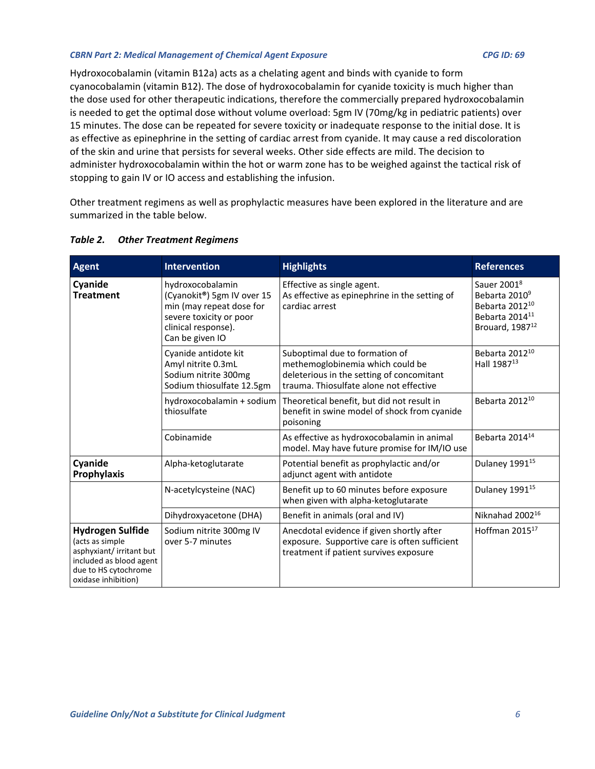Hydroxocobalamin (vitamin B12a) acts as a chelating agent and binds with cyanide to form cyanocobalamin (vitamin B12). The dose of hydroxocobalamin for cyanide toxicity is much higher than the dose used for other therapeutic indications, therefore the commercially prepared hydroxocobalamin is needed to get the optimal dose without volume overload: 5gm IV (70mg/kg in pediatric patients) over 15 minutes. The dose can be repeated for severe toxicity or inadequate response to the initial dose. It is as effective as epinephrine in the setting of cardiac arrest from cyanide. It may cause a red discoloration of the skin and urine that persists for several weeks. Other side effects are mild. The decision to administer hydroxocobalamin within the hot or warm zone has to be weighed against the tactical risk of stopping to gain IV or IO access and establishing the infusion.

Other treatment regimens as well as prophylactic measures have been explored in the literature and are summarized in the table below.

| <b>Agent</b>                                                                                                                                     | <b>Intervention</b>                                                                                                                             | <b>Highlights</b>                                                                                                                                          | <b>References</b>                                                                                                                               |
|--------------------------------------------------------------------------------------------------------------------------------------------------|-------------------------------------------------------------------------------------------------------------------------------------------------|------------------------------------------------------------------------------------------------------------------------------------------------------------|-------------------------------------------------------------------------------------------------------------------------------------------------|
| Cyanide<br><b>Treatment</b>                                                                                                                      | hydroxocobalamin<br>(Cyanokit®) 5gm IV over 15<br>min (may repeat dose for<br>severe toxicity or poor<br>clinical response).<br>Can be given IO | Effective as single agent.<br>As effective as epinephrine in the setting of<br>cardiac arrest                                                              | Sauer 2001 <sup>8</sup><br>Bebarta 2010 <sup>9</sup><br>Bebarta 2012 <sup>10</sup><br>Bebarta 2014 <sup>11</sup><br>Brouard, 1987 <sup>12</sup> |
|                                                                                                                                                  | Cyanide antidote kit<br>Amyl nitrite 0.3mL<br>Sodium nitrite 300mg<br>Sodium thiosulfate 12.5gm                                                 | Suboptimal due to formation of<br>methemoglobinemia which could be<br>deleterious in the setting of concomitant<br>trauma. Thiosulfate alone not effective | Bebarta 2012 <sup>10</sup><br>Hall 1987 <sup>13</sup>                                                                                           |
|                                                                                                                                                  | hydroxocobalamin + sodium<br>thiosulfate                                                                                                        | Theoretical benefit, but did not result in<br>benefit in swine model of shock from cyanide<br>poisoning                                                    | Bebarta 2012 <sup>10</sup>                                                                                                                      |
|                                                                                                                                                  | Cobinamide                                                                                                                                      | As effective as hydroxocobalamin in animal<br>model. May have future promise for IM/IO use                                                                 | Bebarta 2014 <sup>14</sup>                                                                                                                      |
| Cyanide<br>Prophylaxis                                                                                                                           | Alpha-ketoglutarate                                                                                                                             | Potential benefit as prophylactic and/or<br>adjunct agent with antidote                                                                                    | Dulaney 1991 <sup>15</sup>                                                                                                                      |
|                                                                                                                                                  | N-acetylcysteine (NAC)                                                                                                                          | Benefit up to 60 minutes before exposure<br>when given with alpha-ketoglutarate                                                                            | Dulaney 1991 <sup>15</sup>                                                                                                                      |
|                                                                                                                                                  | Dihydroxyacetone (DHA)                                                                                                                          | Benefit in animals (oral and IV)                                                                                                                           | Niknahad 2002 <sup>16</sup>                                                                                                                     |
| <b>Hydrogen Sulfide</b><br>(acts as simple<br>asphyxiant/ irritant but<br>included as blood agent<br>due to HS cytochrome<br>oxidase inhibition) | Sodium nitrite 300mg IV<br>over 5-7 minutes                                                                                                     | Anecdotal evidence if given shortly after<br>exposure. Supportive care is often sufficient<br>treatment if patient survives exposure                       | Hoffman 2015 <sup>17</sup>                                                                                                                      |

## <span id="page-5-0"></span>*Table 2. Other Treatment Regimens*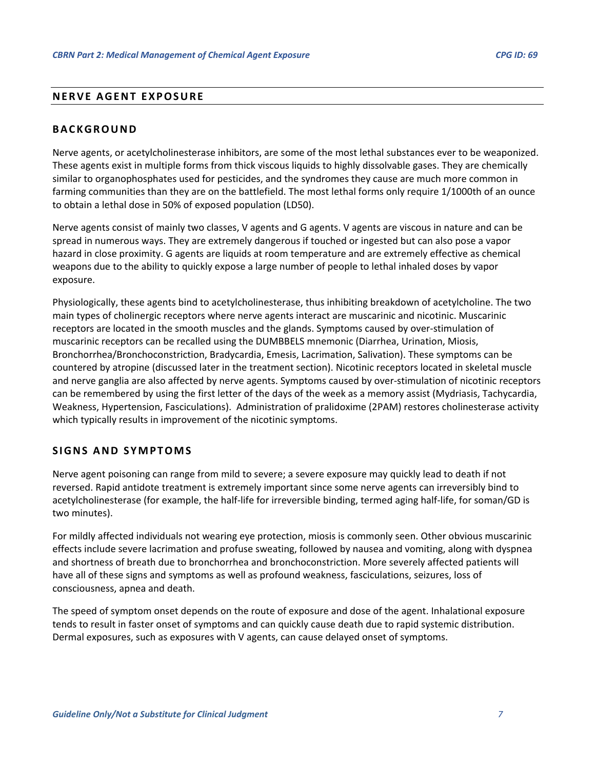# <span id="page-6-0"></span>**NERVE AGENT EXPOSURE**

#### <span id="page-6-1"></span>**BACKGROUND**

Nerve agents, or acetylcholinesterase inhibitors, are some of the most lethal substances ever to be weaponized. These agents exist in multiple forms from thick viscous liquids to highly dissolvable gases. They are chemically similar to organophosphates used for pesticides, and the syndromes they cause are much more common in farming communities than they are on the battlefield. The most lethal forms only require 1/1000th of an ounce to obtain a lethal dose in 50% of exposed population (LD50).

Nerve agents consist of mainly two classes, V agents and G agents. V agents are viscous in nature and can be spread in numerous ways. They are extremely dangerous if touched or ingested but can also pose a vapor hazard in close proximity. G agents are liquids at room temperature and are extremely effective as chemical weapons due to the ability to quickly expose a large number of people to lethal inhaled doses by vapor exposure.

Physiologically, these agents bind to acetylcholinesterase, thus inhibiting breakdown of acetylcholine. The two main types of cholinergic receptors where nerve agents interact are muscarinic and nicotinic. Muscarinic receptors are located in the smooth muscles and the glands. Symptoms caused by over-stimulation of muscarinic receptors can be recalled using the DUMBBELS mnemonic (Diarrhea, Urination, Miosis, Bronchorrhea/Bronchoconstriction, Bradycardia, Emesis, Lacrimation, Salivation). These symptoms can be countered by atropine (discussed later in the treatment section). Nicotinic receptors located in skeletal muscle and nerve ganglia are also affected by nerve agents. Symptoms caused by over-stimulation of nicotinic receptors can be remembered by using the first letter of the days of the week as a memory assist (Mydriasis, Tachycardia, Weakness, Hypertension, Fasciculations). Administration of pralidoxime (2PAM) restores cholinesterase activity which typically results in improvement of the nicotinic symptoms.

#### <span id="page-6-2"></span>**SIGNS AND SYMPTOMS**

Nerve agent poisoning can range from mild to severe; a severe exposure may quickly lead to death if not reversed. Rapid antidote treatment is extremely important since some nerve agents can irreversibly bind to acetylcholinesterase (for example, the half-life for irreversible binding, termed aging half-life, for soman/GD is two minutes).

For mildly affected individuals not wearing eye protection, miosis is commonly seen. Other obvious muscarinic effects include severe lacrimation and profuse sweating, followed by nausea and vomiting, along with dyspnea and shortness of breath due to bronchorrhea and bronchoconstriction. More severely affected patients will have all of these signs and symptoms as well as profound weakness, fasciculations, seizures, loss of consciousness, apnea and death.

The speed of symptom onset depends on the route of exposure and dose of the agent. Inhalational exposure tends to result in faster onset of symptoms and can quickly cause death due to rapid systemic distribution. Dermal exposures, such as exposures with V agents, can cause delayed onset of symptoms.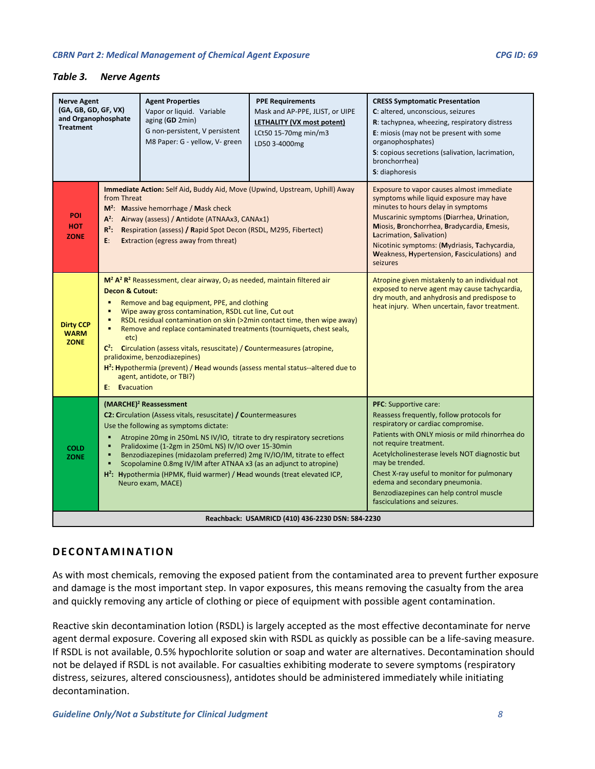#### <span id="page-7-1"></span>*Table 3. Nerve Agents*

| <b>Nerve Agent</b><br>(GA, GB, GD, GF, VX)<br>and Organophosphate<br><b>Treatment</b>                                                                                                                                                                                                                                                                                                                                                                                                                                                                                          |                                                                                                                                                                                                                                                                                                                                                                                                                                                                                                                                                                                                                                                                                                                            | <b>Agent Properties</b><br>Vapor or liquid. Variable<br>aging (GD 2min)<br>G non-persistent, V persistent<br>M8 Paper: G - yellow, V- green                                                                                                                                                                                                                                                                                   | <b>PPE Requirements</b><br>Mask and AP-PPE, JLIST, or UIPE<br>LETHALITY (VX most potent)<br>LCt50 15-70mg min/m3<br>LD50 3-4000mg                                                                                                                                                                                                                            | <b>CRESS Symptomatic Presentation</b><br>C: altered, unconscious, seizures<br>R: tachypnea, wheezing, respiratory distress<br>E: miosis (may not be present with some<br>organophosphates)<br>S: copious secretions (salivation, lacrimation,<br>bronchorrhea)<br>S: diaphoresis |
|--------------------------------------------------------------------------------------------------------------------------------------------------------------------------------------------------------------------------------------------------------------------------------------------------------------------------------------------------------------------------------------------------------------------------------------------------------------------------------------------------------------------------------------------------------------------------------|----------------------------------------------------------------------------------------------------------------------------------------------------------------------------------------------------------------------------------------------------------------------------------------------------------------------------------------------------------------------------------------------------------------------------------------------------------------------------------------------------------------------------------------------------------------------------------------------------------------------------------------------------------------------------------------------------------------------------|-------------------------------------------------------------------------------------------------------------------------------------------------------------------------------------------------------------------------------------------------------------------------------------------------------------------------------------------------------------------------------------------------------------------------------|--------------------------------------------------------------------------------------------------------------------------------------------------------------------------------------------------------------------------------------------------------------------------------------------------------------------------------------------------------------|----------------------------------------------------------------------------------------------------------------------------------------------------------------------------------------------------------------------------------------------------------------------------------|
| POI<br><b>HOT</b><br><b>ZONE</b>                                                                                                                                                                                                                                                                                                                                                                                                                                                                                                                                               | Immediate Action: Self Aid, Buddy Aid, Move (Upwind, Upstream, Uphill) Away<br>from Threat<br>$M^2$ : Massive hemorrhage / Mask check<br>A <sup>2</sup> : Airway (assess) / Antidote (ATNAAx3, CANAx1)<br>$R^2$ :<br>Respiration (assess) / Rapid Spot Decon (RSDL, M295, Fibertect)<br><b>Extraction (egress away from threat)</b><br>E:                                                                                                                                                                                                                                                                                                                                                                                  |                                                                                                                                                                                                                                                                                                                                                                                                                               | Exposure to vapor causes almost immediate<br>symptoms while liquid exposure may have<br>minutes to hours delay in symptoms<br>Muscarinic symptoms (Diarrhea, Urination,<br>Miosis, Bronchorrhea, Bradycardia, Emesis,<br>Lacrimation, Salivation)<br>Nicotinic symptoms: (Mydriasis, Tachycardia,<br>Weakness, Hypertension, Fasciculations) and<br>seizures |                                                                                                                                                                                                                                                                                  |
| <b>Dirty CCP</b><br><b>WARM</b><br><b>ZONE</b>                                                                                                                                                                                                                                                                                                                                                                                                                                                                                                                                 | M <sup>2</sup> A <sup>2</sup> Reassessment, clear airway, O <sub>2</sub> as needed, maintain filtered air<br><b>Decon &amp; Cutout:</b><br>$\blacksquare$<br>Remove and bag equipment, PPE, and clothing<br>Wipe away gross contamination, RSDL cut line, Cut out<br>$\blacksquare$<br>RSDL residual contamination on skin (>2min contact time, then wipe away)<br>Remove and replace contaminated treatments (tourniquets, chest seals,<br>٠<br>etc)<br>$C^2$ : Circulation (assess vitals, resuscitate) / Countermeasures (atropine,<br>pralidoxime, benzodiazepines)<br>H <sup>2</sup> : Hypothermia (prevent) / Head wounds (assess mental status--altered due to<br>agent, antidote, or TBI?)<br><b>E:</b> Evacuation |                                                                                                                                                                                                                                                                                                                                                                                                                               | Atropine given mistakenly to an individual not<br>exposed to nerve agent may cause tachycardia,<br>dry mouth, and anhydrosis and predispose to<br>heat injury. When uncertain, favor treatment.                                                                                                                                                              |                                                                                                                                                                                                                                                                                  |
| (MARCHE) <sup>2</sup> Reassessment<br>C2: Circulation (Assess vitals, resuscitate) / Countermeasures<br>Use the following as symptoms dictate:<br>Atropine 20mg in 250mL NS IV/IO, titrate to dry respiratory secretions<br>Pralidoxime (1-2gm in 250mL NS) IV/IO over 15-30min<br>٠<br><b>COLD</b><br>Benzodiazepines (midazolam preferred) 2mg IV/IO/IM, titrate to effect<br><b>ZONE</b><br>Scopolamine 0.8mg IV/IM after ATNAA x3 (as an adjunct to atropine)<br>H <sup>2</sup> : Hypothermia (HPMK, fluid warmer) / Head wounds (treat elevated ICP,<br>Neuro exam, MACE) |                                                                                                                                                                                                                                                                                                                                                                                                                                                                                                                                                                                                                                                                                                                            | <b>PFC:</b> Supportive care:<br>Reassess frequently, follow protocols for<br>respiratory or cardiac compromise.<br>Patients with ONLY miosis or mild rhinorrhea do<br>not require treatment.<br>Acetylcholinesterase levels NOT diagnostic but<br>may be trended.<br>Chest X-ray useful to monitor for pulmonary<br>edema and secondary pneumonia.<br>Benzodiazepines can help control muscle<br>fasciculations and seizures. |                                                                                                                                                                                                                                                                                                                                                              |                                                                                                                                                                                                                                                                                  |
|                                                                                                                                                                                                                                                                                                                                                                                                                                                                                                                                                                                |                                                                                                                                                                                                                                                                                                                                                                                                                                                                                                                                                                                                                                                                                                                            |                                                                                                                                                                                                                                                                                                                                                                                                                               | Reachback: USAMRICD (410) 436-2230 DSN: 584-2230                                                                                                                                                                                                                                                                                                             |                                                                                                                                                                                                                                                                                  |

# <span id="page-7-0"></span>**DECONTAMINATION**

As with most chemicals, removing the exposed patient from the contaminated area to prevent further exposure and damage is the most important step. In vapor exposures, this means removing the casualty from the area and quickly removing any article of clothing or piece of equipment with possible agent contamination.

Reactive skin decontamination lotion (RSDL) is largely accepted as the most effective decontaminate for nerve agent dermal exposure. Covering all exposed skin with RSDL as quickly as possible can be a life-saving measure. If RSDL is not available, 0.5% hypochlorite solution or soap and water are alternatives. Decontamination should not be delayed if RSDL is not available. For casualties exhibiting moderate to severe symptoms (respiratory distress, seizures, altered consciousness), antidotes should be administered immediately while initiating decontamination.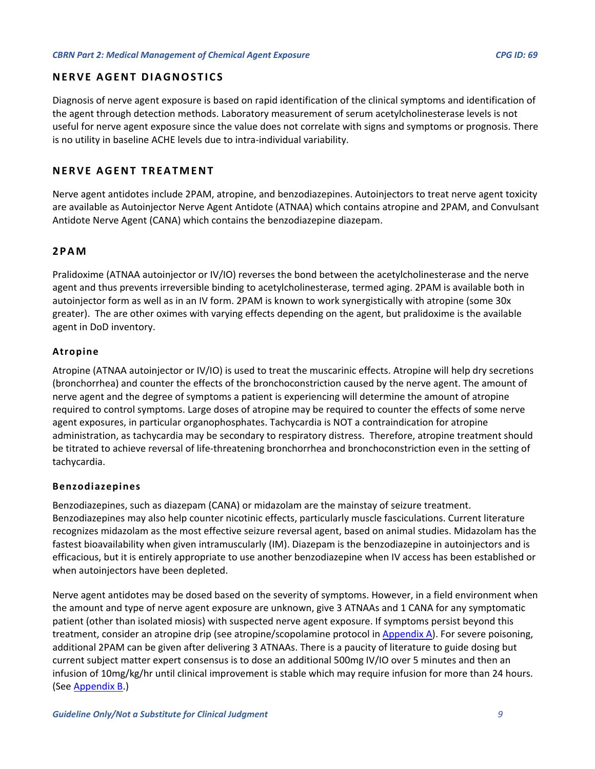# <span id="page-8-0"></span>**NERVE AGENT DIAGNOSTICS**

Diagnosis of nerve agent exposure is based on rapid identification of the clinical symptoms and identification of the agent through detection methods. Laboratory measurement of serum acetylcholinesterase levels is not useful for nerve agent exposure since the value does not correlate with signs and symptoms or prognosis. There is no utility in baseline ACHE levels due to intra-individual variability.

# <span id="page-8-1"></span>**NERVE AGENT TREATMENT**

Nerve agent antidotes include 2PAM, atropine, and benzodiazepines. Autoinjectors to treat nerve agent toxicity are available as Autoinjector Nerve Agent Antidote (ATNAA) which contains atropine and 2PAM, and Convulsant Antidote Nerve Agent (CANA) which contains the benzodiazepine diazepam.

# <span id="page-8-2"></span>**2PAM**

Pralidoxime (ATNAA autoinjector or IV/IO) reverses the bond between the acetylcholinesterase and the nerve agent and thus prevents irreversible binding to acetylcholinesterase, termed aging. 2PAM is available both in autoinjector form as well as in an IV form. 2PAM is known to work synergistically with atropine (some 30x greater). The are other oximes with varying effects depending on the agent, but pralidoxime is the available agent in DoD inventory.

## <span id="page-8-3"></span>**Atropine**

Atropine (ATNAA autoinjector or IV/IO) is used to treat the muscarinic effects. Atropine will help dry secretions (bronchorrhea) and counter the effects of the bronchoconstriction caused by the nerve agent. The amount of nerve agent and the degree of symptoms a patient is experiencing will determine the amount of atropine required to control symptoms. Large doses of atropine may be required to counter the effects of some nerve agent exposures, in particular organophosphates. Tachycardia is NOT a contraindication for atropine administration, as tachycardia may be secondary to respiratory distress. Therefore, atropine treatment should be titrated to achieve reversal of life-threatening bronchorrhea and bronchoconstriction even in the setting of tachycardia.

# <span id="page-8-4"></span>**Benzodiazepines**

Benzodiazepines, such as diazepam (CANA) or midazolam are the mainstay of seizure treatment. Benzodiazepines may also help counter nicotinic effects, particularly muscle fasciculations. Current literature recognizes midazolam as the most effective seizure reversal agent, based on animal studies. Midazolam has the fastest bioavailability when given intramuscularly (IM). Diazepam is the benzodiazepine in autoinjectors and is efficacious, but it is entirely appropriate to use another benzodiazepine when IV access has been established or when autoinjectors have been depleted.

Nerve agent antidotes may be dosed based on the severity of symptoms. However, in a field environment when the amount and type of nerve agent exposure are unknown, give 3 ATNAAs and 1 CANA for any symptomatic patient (other than isolated miosis) with suspected nerve agent exposure. If symptoms persist beyond this treatment, consider an atropine drip (see atropine/scopolamine protocol in [Appendix A\)](#page-27-0). For severe poisoning, additional 2PAM can be given after delivering 3 ATNAAs. There is a paucity of literature to guide dosing but current subject matter expert consensus is to dose an additional 500mg IV/IO over 5 minutes and then an infusion of 10mg/kg/hr until clinical improvement is stable which may require infusion for more than 24 hours. (See [Appendix B.](#page-28-0))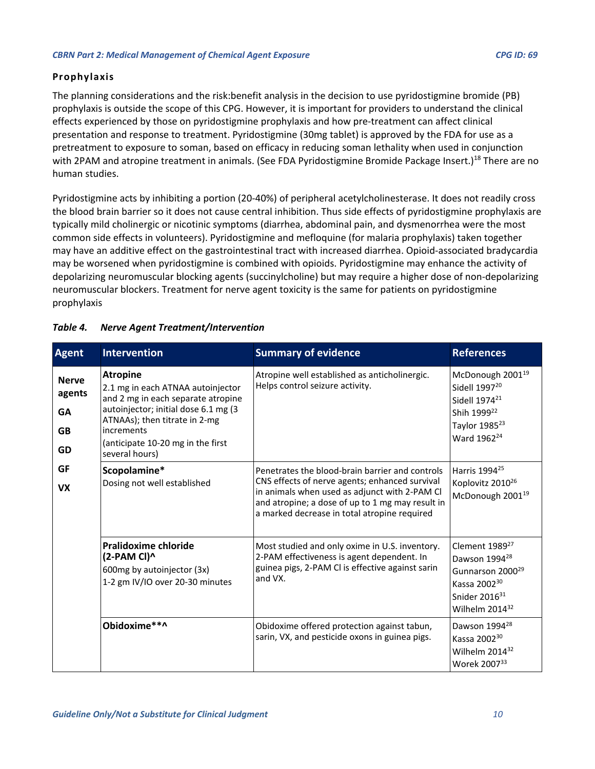# <span id="page-9-0"></span>**Prophylaxis**

The planning considerations and the risk:benefit analysis in the decision to use pyridostigmine bromide (PB) prophylaxis is outside the scope of this CPG. However, it is important for providers to understand the clinical effects experienced by those on pyridostigmine prophylaxis and how pre-treatment can affect clinical presentation and response to treatment. Pyridostigmine (30mg tablet) is approved by the FDA for use as a pretreatment to exposure to soman, based on efficacy in reducing soman lethality when used in conjunction with 2PAM and atropine treatment in animals. (See FDA Pyridostigmine Bromide Package Insert.)<sup>18</sup> There are no human studies.

Pyridostigmine acts by inhibiting a portion (20-40%) of peripheral acetylcholinesterase. It does not readily cross the blood brain barrier so it does not cause central inhibition. Thus side effects of pyridostigmine prophylaxis are typically mild cholinergic or nicotinic symptoms (diarrhea, abdominal pain, and dysmenorrhea were the most common side effects in volunteers). Pyridostigmine and mefloquine (for malaria prophylaxis) taken together may have an additive effect on the gastrointestinal tract with increased diarrhea. Opioid-associated bradycardia may be worsened when pyridostigmine is combined with opioids. Pyridostigmine may enhance the activity of depolarizing neuromuscular blocking agents (succinylcholine) but may require a higher dose of non-depolarizing neuromuscular blockers. Treatment for nerve agent toxicity is the same for patients on pyridostigmine prophylaxis

| <b>Agent</b>                                           | <b>Intervention</b>                                                                                                                                                                                                                      | <b>Summary of evidence</b>                                                                                                                                                                                                                             | <b>References</b>                                                                                                                                                              |
|--------------------------------------------------------|------------------------------------------------------------------------------------------------------------------------------------------------------------------------------------------------------------------------------------------|--------------------------------------------------------------------------------------------------------------------------------------------------------------------------------------------------------------------------------------------------------|--------------------------------------------------------------------------------------------------------------------------------------------------------------------------------|
| <b>Nerve</b><br>agents<br><b>GA</b><br><b>GB</b><br>GD | <b>Atropine</b><br>2.1 mg in each ATNAA autoinjector<br>and 2 mg in each separate atropine<br>autoinjector; initial dose 6.1 mg (3<br>ATNAAs); then titrate in 2-mg<br>increments<br>(anticipate 10-20 mg in the first<br>several hours) | Atropine well established as anticholinergic.<br>Helps control seizure activity.                                                                                                                                                                       | McDonough 2001 <sup>19</sup><br>Sidell 1997 <sup>20</sup><br>Sidell 1974 <sup>21</sup><br>Shih 1999 <sup>22</sup><br>Taylor 1985 <sup>23</sup><br>Ward 1962 <sup>24</sup>      |
| GF<br><b>VX</b>                                        | Scopolamine*<br>Dosing not well established                                                                                                                                                                                              | Penetrates the blood-brain barrier and controls<br>CNS effects of nerve agents; enhanced survival<br>in animals when used as adjunct with 2-PAM Cl<br>and atropine; a dose of up to 1 mg may result in<br>a marked decrease in total atropine required | Harris 1994 <sup>25</sup><br>Koplovitz 2010 <sup>26</sup><br>McDonough 2001 <sup>19</sup>                                                                                      |
|                                                        | <b>Pralidoxime chloride</b><br>(2-PAM CI)^<br>600mg by autoinjector (3x)<br>1-2 gm IV/IO over 20-30 minutes                                                                                                                              | Most studied and only oxime in U.S. inventory.<br>2-PAM effectiveness is agent dependent. In<br>guinea pigs, 2-PAM Cl is effective against sarin<br>and VX.                                                                                            | Clement 1989 <sup>27</sup><br>Dawson 1994 <sup>28</sup><br>Gunnarson 2000 <sup>29</sup><br>Kassa 2002 <sup>30</sup><br>Snider 2016 <sup>31</sup><br>Wilhelm 2014 <sup>32</sup> |
|                                                        | Obidoxime**^                                                                                                                                                                                                                             | Obidoxime offered protection against tabun,<br>sarin, VX, and pesticide oxons in guinea pigs.                                                                                                                                                          | Dawson 1994 <sup>28</sup><br>Kassa 2002 <sup>30</sup><br>Wilhelm 2014 <sup>32</sup><br>Worek 200733                                                                            |

#### <span id="page-9-1"></span>*Table 4. Nerve Agent Treatment/Intervention*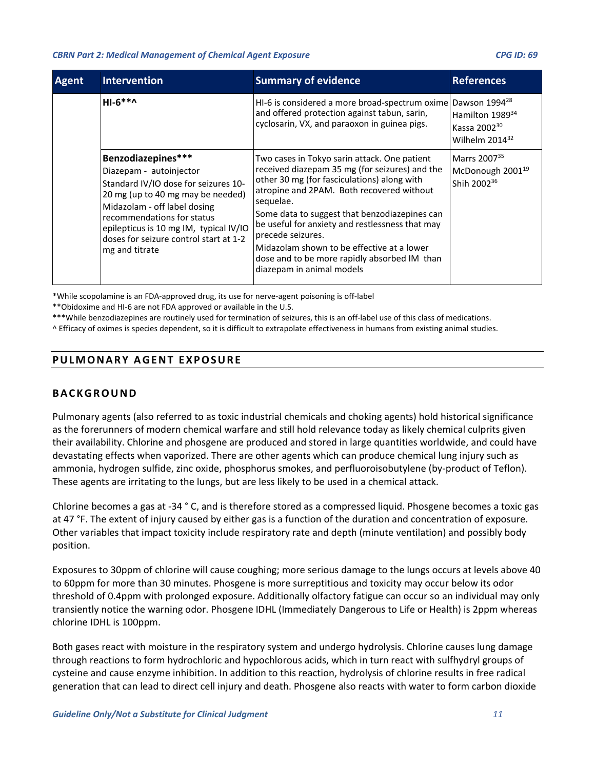| <b>Agent</b> | <b>Intervention</b>                                                                                                                                                                                                                                                                            | <b>Summary of evidence</b>                                                                                                                                                                                                                                                                                                                                                                                                                                  | <b>References</b>                                                                   |
|--------------|------------------------------------------------------------------------------------------------------------------------------------------------------------------------------------------------------------------------------------------------------------------------------------------------|-------------------------------------------------------------------------------------------------------------------------------------------------------------------------------------------------------------------------------------------------------------------------------------------------------------------------------------------------------------------------------------------------------------------------------------------------------------|-------------------------------------------------------------------------------------|
|              | $HI-6***$                                                                                                                                                                                                                                                                                      | HI-6 is considered a more broad-spectrum oxime Dawson 1994 <sup>28</sup><br>and offered protection against tabun, sarin,<br>cyclosarin, VX, and paraoxon in guinea pigs.                                                                                                                                                                                                                                                                                    | Hamilton 1989 <sup>34</sup><br>Kassa 2002 <sup>30</sup><br>Wilhelm $2014^{32}$      |
|              | Benzodiazepines***<br>Diazepam - autoinjector<br>Standard IV/IO dose for seizures 10-<br>20 mg (up to 40 mg may be needed)<br>Midazolam - off label dosing<br>recommendations for status<br>epilepticus is 10 mg IM, typical IV/IO<br>doses for seizure control start at 1-2<br>mg and titrate | Two cases in Tokyo sarin attack. One patient<br>received diazepam 35 mg (for seizures) and the<br>other 30 mg (for fasciculations) along with<br>atropine and 2PAM. Both recovered without<br>sequelae.<br>Some data to suggest that benzodiazepines can<br>be useful for anxiety and restlessness that may<br>precede seizures.<br>Midazolam shown to be effective at a lower<br>dose and to be more rapidly absorbed IM than<br>diazepam in animal models | Marrs 2007 <sup>35</sup><br>McDonough 2001 <sup>19</sup><br>Shih 2002 <sup>36</sup> |

\*While scopolamine is an FDA-approved drug, its use for nerve-agent poisoning is off-label

\*\*Obidoxime and HI-6 are not FDA approved or available in the U.S.

\*\*\*While benzodiazepines are routinely used for termination of seizures, this is an off-label use of this class of medications.

<span id="page-10-0"></span>^ Efficacy of oximes is species dependent, so it is difficult to extrapolate effectiveness in humans from existing animal studies.

# **PULMONARY AGENT EXPOSURE**

# <span id="page-10-1"></span>**BACKGROUND**

Pulmonary agents (also referred to as toxic industrial chemicals and choking agents) hold historical significance as the forerunners of modern chemical warfare and still hold relevance today as likely chemical culprits given their availability. Chlorine and phosgene are produced and stored in large quantities worldwide, and could have devastating effects when vaporized. There are other agents which can produce chemical lung injury such as ammonia, hydrogen sulfide, zinc oxide, phosphorus smokes, and perfluoroisobutylene (by-product of Teflon). These agents are irritating to the lungs, but are less likely to be used in a chemical attack.

Chlorine becomes a gas at -34 ° C, and is therefore stored as a compressed liquid. Phosgene becomes a toxic gas at 47 °F. The extent of injury caused by either gas is a function of the duration and concentration of exposure. Other variables that impact toxicity include respiratory rate and depth (minute ventilation) and possibly body position.

Exposures to 30ppm of chlorine will cause coughing; more serious damage to the lungs occurs at levels above 40 to 60ppm for more than 30 minutes. Phosgene is more surreptitious and toxicity may occur below its odor threshold of 0.4ppm with prolonged exposure. Additionally olfactory fatigue can occur so an individual may only transiently notice the warning odor. Phosgene IDHL (Immediately Dangerous to Life or Health) is 2ppm whereas chlorine IDHL is 100ppm.

Both gases react with moisture in the respiratory system and undergo hydrolysis. Chlorine causes lung damage through reactions to form hydrochloric and hypochlorous acids, which in turn react with sulfhydryl groups of cysteine and cause enzyme inhibition. In addition to this reaction, hydrolysis of chlorine results in free radical generation that can lead to direct cell injury and death. Phosgene also reacts with water to form carbon dioxide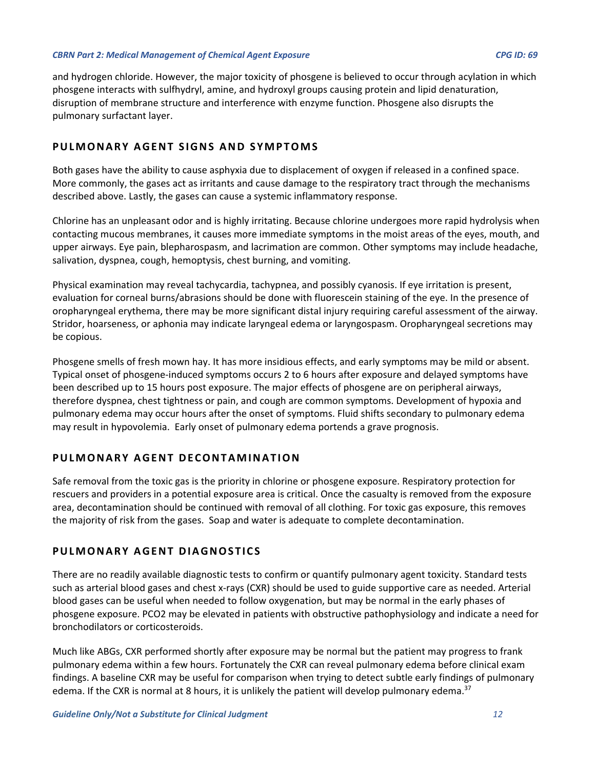and hydrogen chloride. However, the major toxicity of phosgene is believed to occur through acylation in which phosgene interacts with sulfhydryl, amine, and hydroxyl groups causing protein and lipid denaturation, disruption of membrane structure and interference with enzyme function. Phosgene also disrupts the pulmonary surfactant layer.

# <span id="page-11-0"></span>**PULMONARY AGENT SIGNS AND SYMPTOMS**

Both gases have the ability to cause asphyxia due to displacement of oxygen if released in a confined space. More commonly, the gases act as irritants and cause damage to the respiratory tract through the mechanisms described above. Lastly, the gases can cause a systemic inflammatory response.

Chlorine has an unpleasant odor and is highly irritating. Because chlorine undergoes more rapid hydrolysis when contacting mucous membranes, it causes more immediate symptoms in the moist areas of the eyes, mouth, and upper airways. Eye pain, blepharospasm, and lacrimation are common. Other symptoms may include headache, salivation, dyspnea, cough, hemoptysis, chest burning, and vomiting.

Physical examination may reveal tachycardia, tachypnea, and possibly cyanosis. If eye irritation is present, evaluation for corneal burns/abrasions should be done with fluorescein staining of the eye. In the presence of oropharyngeal erythema, there may be more significant distal injury requiring careful assessment of the airway. Stridor, hoarseness, or aphonia may indicate laryngeal edema or laryngospasm. Oropharyngeal secretions may be copious.

Phosgene smells of fresh mown hay. It has more insidious effects, and early symptoms may be mild or absent. Typical onset of phosgene-induced symptoms occurs 2 to 6 hours after exposure and delayed symptoms have been described up to 15 hours post exposure. The major effects of phosgene are on peripheral airways, therefore dyspnea, chest tightness or pain, and cough are common symptoms. Development of hypoxia and pulmonary edema may occur hours after the onset of symptoms. Fluid shifts secondary to pulmonary edema may result in hypovolemia. Early onset of pulmonary edema portends a grave prognosis.

# <span id="page-11-1"></span>**PULMONARY AGENT DECONTAMINATION**

Safe removal from the toxic gas is the priority in chlorine or phosgene exposure. Respiratory protection for rescuers and providers in a potential exposure area is critical. Once the casualty is removed from the exposure area, decontamination should be continued with removal of all clothing. For toxic gas exposure, this removes the majority of risk from the gases. Soap and water is adequate to complete decontamination.

# <span id="page-11-2"></span>**PULMONARY AGENT DIAGNOSTICS**

There are no readily available diagnostic tests to confirm or quantify pulmonary agent toxicity. Standard tests such as arterial blood gases and chest x-rays (CXR) should be used to guide supportive care as needed. Arterial blood gases can be useful when needed to follow oxygenation, but may be normal in the early phases of phosgene exposure. PCO2 may be elevated in patients with obstructive pathophysiology and indicate a need for bronchodilators or corticosteroids.

Much like ABGs, CXR performed shortly after exposure may be normal but the patient may progress to frank pulmonary edema within a few hours. Fortunately the CXR can reveal pulmonary edema before clinical exam findings. A baseline CXR may be useful for comparison when trying to detect subtle early findings of pulmonary edema. If the CXR is normal at 8 hours, it is unlikely the patient will develop pulmonary edema.<sup>37</sup>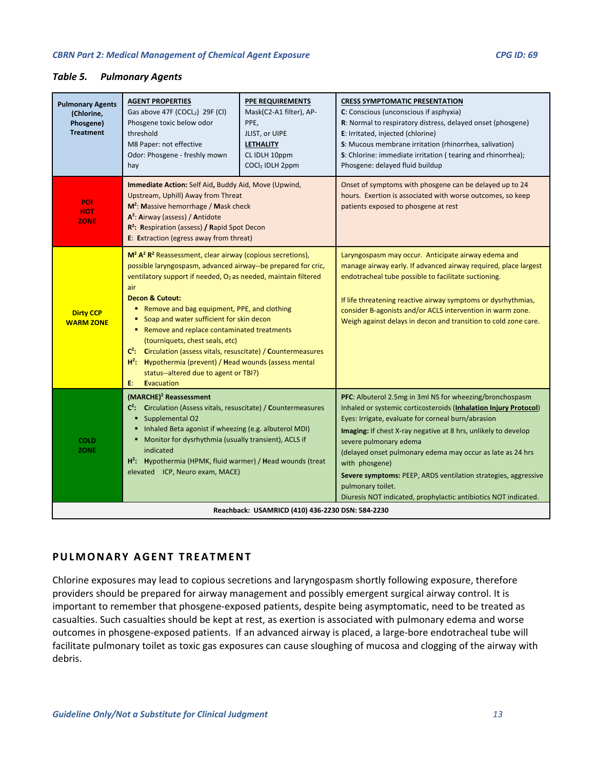## <span id="page-12-1"></span>*Table 5. Pulmonary Agents*

| <b>Pulmonary Agents</b><br>(Chlorine,<br>Phosgene)<br><b>Treatment</b> | <b>AGENT PROPERTIES</b><br>Gas above 47F (COCL2) 29F (Cl)<br>Phosgene toxic below odor<br>threshold<br>M8 Paper: not effective<br>Odor: Phosgene - freshly mown<br>hay                                                                                                                                                                                                                                                                                                                                                                                                                                                                           | <b>PPE REQUIREMENTS</b><br>Mask(C2-A1 filter), AP-<br>PPE,<br>JLIST, or UIPE<br><b>LETHALITY</b><br>CL IDLH 10ppm<br>COCl2 IDLH 2ppm | <b>CRESS SYMPTOMATIC PRESENTATION</b><br>C: Conscious (unconscious if asphyxia)<br>R: Normal to respiratory distress, delayed onset (phosgene)<br>E: Irritated, injected (chlorine)<br>S: Mucous membrane irritation (rhinorrhea, salivation)<br>S: Chlorine: immediate irritation (tearing and rhinorrhea);<br>Phosgene: delayed fluid buildup                                                                                                                                                                          |
|------------------------------------------------------------------------|--------------------------------------------------------------------------------------------------------------------------------------------------------------------------------------------------------------------------------------------------------------------------------------------------------------------------------------------------------------------------------------------------------------------------------------------------------------------------------------------------------------------------------------------------------------------------------------------------------------------------------------------------|--------------------------------------------------------------------------------------------------------------------------------------|--------------------------------------------------------------------------------------------------------------------------------------------------------------------------------------------------------------------------------------------------------------------------------------------------------------------------------------------------------------------------------------------------------------------------------------------------------------------------------------------------------------------------|
| <b>POI</b><br><b>HOT</b><br><b>ZONE</b>                                | Immediate Action: Self Aid, Buddy Aid, Move (Upwind,<br>Upstream, Uphill) Away from Threat<br>$M^2$ : Massive hemorrhage / Mask check<br>A <sup>2</sup> : Airway (assess) / Antidote<br>R <sup>2</sup> : Respiration (assess) / Rapid Spot Decon<br>E: Extraction (egress away from threat)                                                                                                                                                                                                                                                                                                                                                      |                                                                                                                                      | Onset of symptoms with phosgene can be delayed up to 24<br>hours. Exertion is associated with worse outcomes, so keep<br>patients exposed to phosgene at rest                                                                                                                                                                                                                                                                                                                                                            |
| <b>Dirty CCP</b><br><b>WARM ZONE</b>                                   | $M^2 A^2 R^2$ Reassessment, clear airway (copious secretions),<br>possible laryngospasm, advanced airway--be prepared for cric,<br>ventilatory support if needed, O <sub>2</sub> as needed, maintain filtered<br>air<br><b>Decon &amp; Cutout:</b><br>Remove and bag equipment, PPE, and clothing<br>Soap and water sufficient for skin decon<br>٠<br>Remove and replace contaminated treatments<br>٠<br>(tourniquets, chest seals, etc)<br>$C^2$ : Circulation (assess vitals, resuscitate) / Countermeasures<br>$H^2$ : Hypothermia (prevent) / Head wounds (assess mental<br>status--altered due to agent or TBI?)<br>E:<br><b>Evacuation</b> |                                                                                                                                      | Laryngospasm may occur. Anticipate airway edema and<br>manage airway early. If advanced airway required, place largest<br>endotracheal tube possible to facilitate suctioning.<br>If life threatening reactive airway symptoms or dysrhythmias,<br>consider B-agonists and/or ACLS intervention in warm zone.<br>Weigh against delays in decon and transition to cold zone care.                                                                                                                                         |
| <b>COLD</b><br>ZONE                                                    | (MARCHE) <sup>2</sup> Reassessment<br>C <sup>2</sup> : Circulation (Assess vitals, resuscitate) / Countermeasures<br>Supplemental O2<br>٠<br>Inhaled Beta agonist if wheezing (e.g. albuterol MDI)<br>Monitor for dysrhythmia (usually transient), ACLS if<br>٠<br>indicated<br>$H^2$ : Hypothermia (HPMK, fluid warmer) / Head wounds (treat<br>elevated ICP, Neuro exam, MACE)                                                                                                                                                                                                                                                                 |                                                                                                                                      | PFC: Albuterol 2.5mg in 3ml NS for wheezing/bronchospasm<br>Inhaled or systemic corticosteroids (Inhalation Injury Protocol)<br>Eyes: Irrigate, evaluate for corneal burn/abrasion<br>Imaging: If chest X-ray negative at 8 hrs, unlikely to develop<br>severe pulmonary edema<br>(delayed onset pulmonary edema may occur as late as 24 hrs<br>with phosgene)<br>Severe symptoms: PEEP, ARDS ventilation strategies, aggressive<br>pulmonary toilet.<br>Diuresis NOT indicated, prophylactic antibiotics NOT indicated. |
|                                                                        |                                                                                                                                                                                                                                                                                                                                                                                                                                                                                                                                                                                                                                                  | Reachback: USAMRICD (410) 436-2230 DSN: 584-2230                                                                                     |                                                                                                                                                                                                                                                                                                                                                                                                                                                                                                                          |

# <span id="page-12-0"></span>**PULMONARY AGENT TREATMENT**

Chlorine exposures may lead to copious secretions and laryngospasm shortly following exposure, therefore providers should be prepared for airway management and possibly emergent surgical airway control. It is important to remember that phosgene-exposed patients, despite being asymptomatic, need to be treated as casualties. Such casualties should be kept at rest, as exertion is associated with pulmonary edema and worse outcomes in phosgene-exposed patients. If an advanced airway is placed, a large-bore endotracheal tube will facilitate pulmonary toilet as toxic gas exposures can cause sloughing of mucosa and clogging of the airway with debris.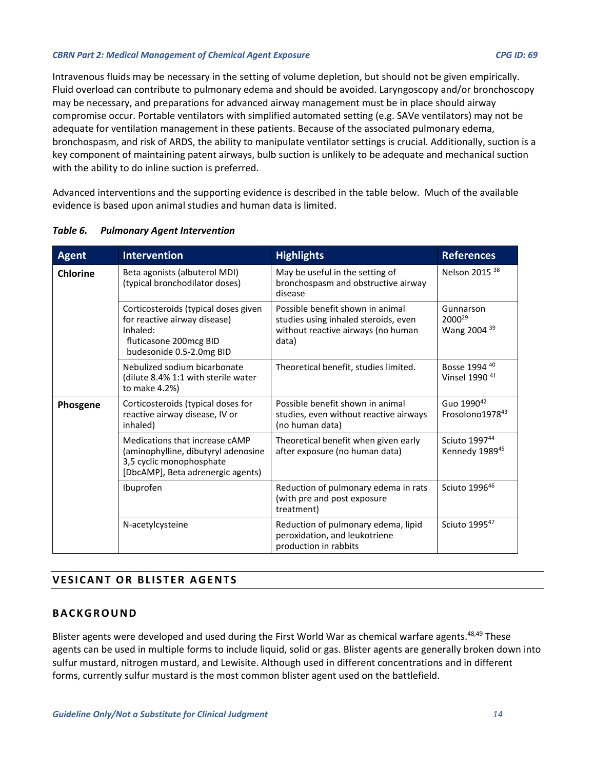Intravenous fluids may be necessary in the setting of volume depletion, but should not be given empirically. Fluid overload can contribute to pulmonary edema and should be avoided. Laryngoscopy and/or bronchoscopy may be necessary, and preparations for advanced airway management must be in place should airway compromise occur. Portable ventilators with simplified automated setting (e.g. SAVe ventilators) may not be adequate for ventilation management in these patients. Because of the associated pulmonary edema, bronchospasm, and risk of ARDS, the ability to manipulate ventilator settings is crucial. Additionally, suction is a key component of maintaining patent airways, bulb suction is unlikely to be adequate and mechanical suction with the ability to do inline suction is preferred.

Advanced interventions and the supporting evidence is described in the table below. Much of the available evidence is based upon animal studies and human data is limited.

| <b>Agent</b>    | <b>Intervention</b>                                                                                                                    | <b>Highlights</b>                                                                                                       | <b>References</b>                               |
|-----------------|----------------------------------------------------------------------------------------------------------------------------------------|-------------------------------------------------------------------------------------------------------------------------|-------------------------------------------------|
| <b>Chlorine</b> | Beta agonists (albuterol MDI)<br>(typical bronchodilator doses)                                                                        | May be useful in the setting of<br>bronchospasm and obstructive airway<br>disease                                       | Nelson 2015 <sup>38</sup>                       |
|                 | Corticosteroids (typical doses given<br>for reactive airway disease)<br>Inhaled:<br>fluticasone 200mcg BID<br>budesonide 0.5-2.0mg BID | Possible benefit shown in animal<br>studies using inhaled steroids, even<br>without reactive airways (no human<br>data) | Gunnarson<br>2000 <sup>29</sup><br>Wang 2004 39 |
|                 | Nebulized sodium bicarbonate<br>(dilute 8.4% 1:1 with sterile water<br>to make 4.2%)                                                   | Theoretical benefit, studies limited.                                                                                   | Bosse 1994 40<br>Vinsel 1990 <sup>41</sup>      |
| Phosgene        | Corticosteroids (typical doses for<br>reactive airway disease, IV or<br>inhaled)                                                       | Possible benefit shown in animal<br>studies, even without reactive airways<br>(no human data)                           | Guo 1990 <sup>42</sup><br>Frosolono197843       |
|                 | Medications that increase cAMP<br>(aminophylline, dibutyryl adenosine<br>3,5 cyclic monophosphate<br>[DbcAMP], Beta adrenergic agents) | Theoretical benefit when given early<br>after exposure (no human data)                                                  | Sciuto 199744<br>Kennedy 1989 <sup>45</sup>     |
|                 | Ibuprofen                                                                                                                              | Reduction of pulmonary edema in rats<br>(with pre and post exposure<br>treatment)                                       | Sciuto 199646                                   |
|                 | N-acetylcysteine                                                                                                                       | Reduction of pulmonary edema, lipid<br>peroxidation, and leukotriene<br>production in rabbits                           | Sciuto 199547                                   |

# <span id="page-13-2"></span>*Table 6. Pulmonary Agent Intervention*

# <span id="page-13-0"></span>**VESICANT OR BLISTER AGENTS**

# <span id="page-13-1"></span>**BACKGROUND**

Blister agents were developed and used during the First World War as chemical warfare agents.<sup>48,49</sup> These agents can be used in multiple forms to include liquid, solid or gas. Blister agents are generally broken down into sulfur mustard, nitrogen mustard, and Lewisite. Although used in different concentrations and in different forms, currently sulfur mustard is the most common blister agent used on the battlefield.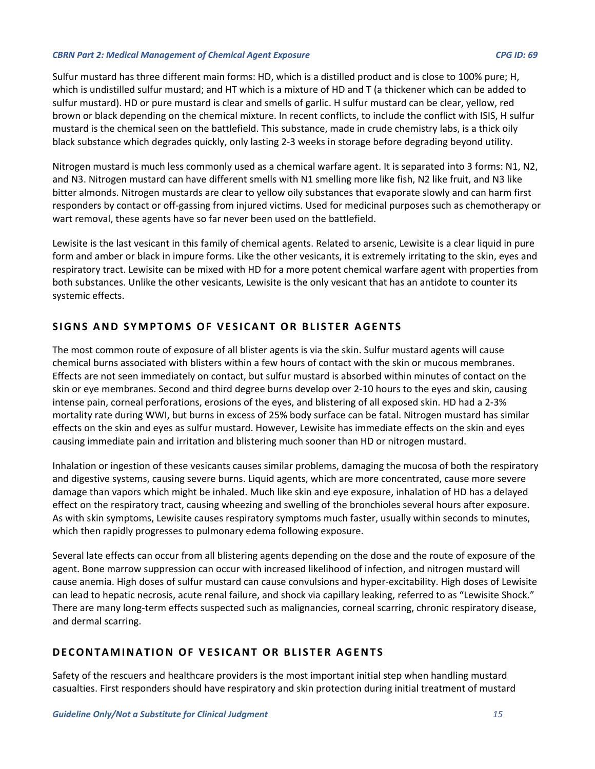Sulfur mustard has three different main forms: HD, which is a distilled product and is close to 100% pure; H, which is undistilled sulfur mustard; and HT which is a mixture of HD and T (a thickener which can be added to sulfur mustard). HD or pure mustard is clear and smells of garlic. H sulfur mustard can be clear, yellow, red brown or black depending on the chemical mixture. In recent conflicts, to include the conflict with ISIS, H sulfur mustard is the chemical seen on the battlefield. This substance, made in crude chemistry labs, is a thick oily black substance which degrades quickly, only lasting 2-3 weeks in storage before degrading beyond utility.

Nitrogen mustard is much less commonly used as a chemical warfare agent. It is separated into 3 forms: N1, N2, and N3. Nitrogen mustard can have different smells with N1 smelling more like fish, N2 like fruit, and N3 like bitter almonds. Nitrogen mustards are clear to yellow oily substances that evaporate slowly and can harm first responders by contact or off-gassing from injured victims. Used for medicinal purposes such as chemotherapy or wart removal, these agents have so far never been used on the battlefield.

Lewisite is the last vesicant in this family of chemical agents. Related to arsenic, Lewisite is a clear liquid in pure form and amber or black in impure forms. Like the other vesicants, it is extremely irritating to the skin, eyes and respiratory tract. Lewisite can be mixed with HD for a more potent chemical warfare agent with properties from both substances. Unlike the other vesicants, Lewisite is the only vesicant that has an antidote to counter its systemic effects.

# <span id="page-14-0"></span>**SIGNS AND SYMPTOMS OF VESICANT OR BLISTER AGENTS**

The most common route of exposure of all blister agents is via the skin. Sulfur mustard agents will cause chemical burns associated with blisters within a few hours of contact with the skin or mucous membranes. Effects are not seen immediately on contact, but sulfur mustard is absorbed within minutes of contact on the skin or eye membranes. Second and third degree burns develop over 2-10 hours to the eyes and skin, causing intense pain, corneal perforations, erosions of the eyes, and blistering of all exposed skin. HD had a 2-3% mortality rate during WWI, but burns in excess of 25% body surface can be fatal. Nitrogen mustard has similar effects on the skin and eyes as sulfur mustard. However, Lewisite has immediate effects on the skin and eyes causing immediate pain and irritation and blistering much sooner than HD or nitrogen mustard.

Inhalation or ingestion of these vesicants causes similar problems, damaging the mucosa of both the respiratory and digestive systems, causing severe burns. Liquid agents, which are more concentrated, cause more severe damage than vapors which might be inhaled. Much like skin and eye exposure, inhalation of HD has a delayed effect on the respiratory tract, causing wheezing and swelling of the bronchioles several hours after exposure. As with skin symptoms, Lewisite causes respiratory symptoms much faster, usually within seconds to minutes, which then rapidly progresses to pulmonary edema following exposure.

Several late effects can occur from all blistering agents depending on the dose and the route of exposure of the agent. Bone marrow suppression can occur with increased likelihood of infection, and nitrogen mustard will cause anemia. High doses of sulfur mustard can cause convulsions and hyper-excitability. High doses of Lewisite can lead to hepatic necrosis, acute renal failure, and shock via capillary leaking, referred to as "Lewisite Shock." There are many long-term effects suspected such as malignancies, corneal scarring, chronic respiratory disease, and dermal scarring.

# <span id="page-14-1"></span>**DECONTAMINATION OF VESICANT OR BLISTER AGENTS**

Safety of the rescuers and healthcare providers is the most important initial step when handling mustard casualties. First responders should have respiratory and skin protection during initial treatment of mustard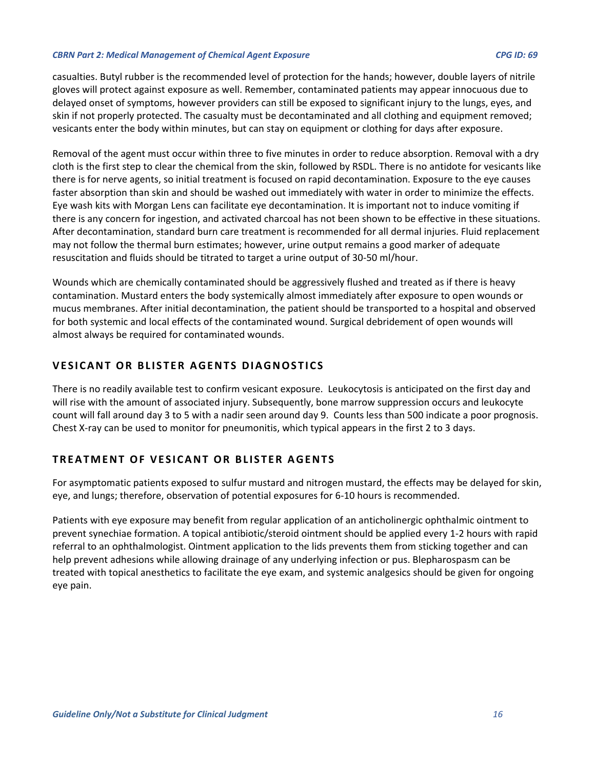casualties. Butyl rubber is the recommended level of protection for the hands; however, double layers of nitrile gloves will protect against exposure as well. Remember, contaminated patients may appear innocuous due to delayed onset of symptoms, however providers can still be exposed to significant injury to the lungs, eyes, and skin if not properly protected. The casualty must be decontaminated and all clothing and equipment removed; vesicants enter the body within minutes, but can stay on equipment or clothing for days after exposure.

Removal of the agent must occur within three to five minutes in order to reduce absorption. Removal with a dry cloth is the first step to clear the chemical from the skin, followed by RSDL. There is no antidote for vesicants like there is for nerve agents, so initial treatment is focused on rapid decontamination. Exposure to the eye causes faster absorption than skin and should be washed out immediately with water in order to minimize the effects. Eye wash kits with Morgan Lens can facilitate eye decontamination. It is important not to induce vomiting if there is any concern for ingestion, and activated charcoal has not been shown to be effective in these situations. After decontamination, standard burn care treatment is recommended for all dermal injuries. Fluid replacement may not follow the thermal burn estimates; however, urine output remains a good marker of adequate resuscitation and fluids should be titrated to target a urine output of 30-50 ml/hour.

Wounds which are chemically contaminated should be aggressively flushed and treated as if there is heavy contamination. Mustard enters the body systemically almost immediately after exposure to open wounds or mucus membranes. After initial decontamination, the patient should be transported to a hospital and observed for both systemic and local effects of the contaminated wound. Surgical debridement of open wounds will almost always be required for contaminated wounds.

# <span id="page-15-0"></span>**VESICANT OR BLISTER AGENTS DIAGNOSTICS**

There is no readily available test to confirm vesicant exposure. Leukocytosis is anticipated on the first day and will rise with the amount of associated injury. Subsequently, bone marrow suppression occurs and leukocyte count will fall around day 3 to 5 with a nadir seen around day 9. Counts less than 500 indicate a poor prognosis. Chest X-ray can be used to monitor for pneumonitis, which typical appears in the first 2 to 3 days.

# <span id="page-15-1"></span>**TREATMENT OF VESICANT OR BLISTER AGENTS**

For asymptomatic patients exposed to sulfur mustard and nitrogen mustard, the effects may be delayed for skin, eye, and lungs; therefore, observation of potential exposures for 6-10 hours is recommended.

Patients with eye exposure may benefit from regular application of an anticholinergic ophthalmic ointment to prevent synechiae formation. A topical antibiotic/steroid ointment should be applied every 1-2 hours with rapid referral to an ophthalmologist. Ointment application to the lids prevents them from sticking together and can help prevent adhesions while allowing drainage of any underlying infection or pus. Blepharospasm can be treated with topical anesthetics to facilitate the eye exam, and systemic analgesics should be given for ongoing eye pain.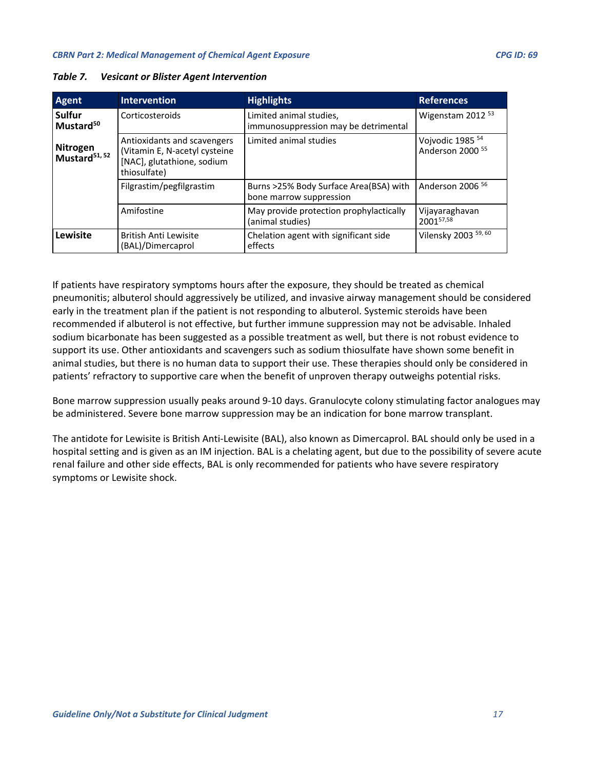| <b>Agent</b>                           | <b>Intervention</b>                                                                                        | <b>Highlights</b>                                                 | <b>References</b>                                          |
|----------------------------------------|------------------------------------------------------------------------------------------------------------|-------------------------------------------------------------------|------------------------------------------------------------|
| <b>Sulfur</b><br>Mustard <sup>50</sup> | Corticosteroids                                                                                            | Limited animal studies,<br>immunosuppression may be detrimental   | Wigenstam 2012 <sup>53</sup>                               |
| Nitrogen<br>Mustard <sup>51, 52</sup>  | Antioxidants and scavengers<br>(Vitamin E, N-acetyl cysteine<br>[NAC], glutathione, sodium<br>thiosulfate) | Limited animal studies                                            | Vojvodic 1985 <sup>54</sup><br>Anderson 2000 <sup>55</sup> |
|                                        | Filgrastim/pegfilgrastim                                                                                   | Burns >25% Body Surface Area(BSA) with<br>bone marrow suppression | Anderson 2006 <sup>56</sup>                                |
|                                        | Amifostine                                                                                                 | May provide protection prophylactically<br>(animal studies)       | Vijayaraghavan<br>200157,58                                |
| Lewisite                               | <b>British Anti Lewisite</b><br>(BAL)/Dimercaprol                                                          | Chelation agent with significant side<br>effects                  | Vilensky 2003 59, 60                                       |

<span id="page-16-0"></span>*Table 7. Vesicant or Blister Agent Intervention*

If patients have respiratory symptoms hours after the exposure, they should be treated as chemical pneumonitis; albuterol should aggressively be utilized, and invasive airway management should be considered early in the treatment plan if the patient is not responding to albuterol. Systemic steroids have been recommended if albuterol is not effective, but further immune suppression may not be advisable. Inhaled sodium bicarbonate has been suggested as a possible treatment as well, but there is not robust evidence to support its use. Other antioxidants and scavengers such as sodium thiosulfate have shown some benefit in animal studies, but there is no human data to support their use. These therapies should only be considered in patients' refractory to supportive care when the benefit of unproven therapy outweighs potential risks.

Bone marrow suppression usually peaks around 9-10 days. Granulocyte colony stimulating factor analogues may be administered. Severe bone marrow suppression may be an indication for bone marrow transplant.

The antidote for Lewisite is British Anti-Lewisite (BAL), also known as Dimercaprol. BAL should only be used in a hospital setting and is given as an IM injection. BAL is a chelating agent, but due to the possibility of severe acute renal failure and other side effects, BAL is only recommended for patients who have severe respiratory symptoms or Lewisite shock.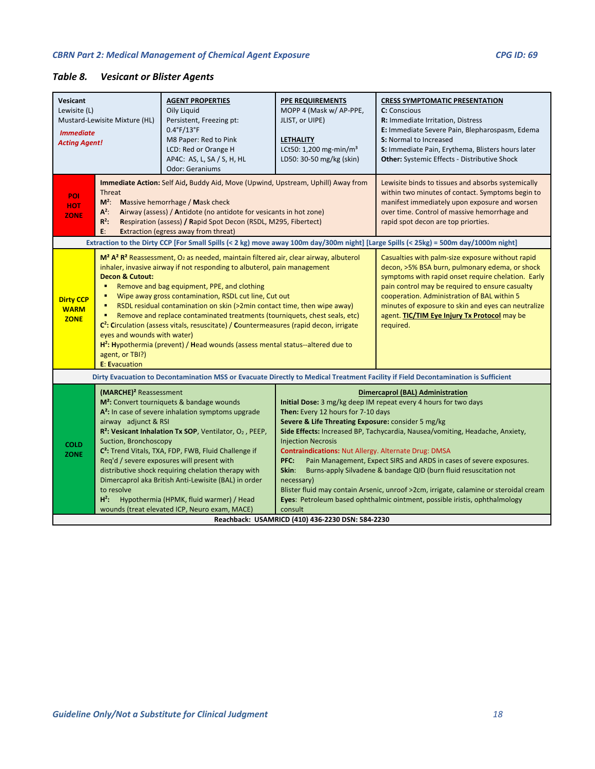# <span id="page-17-0"></span>*Table 8. Vesicant or Blister Agents*

| Vesicant<br>Lewisite (L)<br>Mustard-Lewisite Mixture (HL)<br><b>Immediate</b><br><b>Acting Agent!</b> |                                                                                                                | <b>AGENT PROPERTIES</b><br>Oily Liquid<br>Persistent, Freezing pt:<br>$0.4^{\circ}$ F/13 $^{\circ}$ F<br>M8 Paper: Red to Pink<br>LCD: Red or Orange H<br>AP4C: AS, L, SA / S, H, HL<br><b>Odor: Geraniums</b>                                                                                                                                                                                                                                                                                                                                 | <b>PPE REQUIREMENTS</b><br>MOPP 4 (Mask w/ AP-PPE,<br>JLIST, or UIPE)<br><b>LETHALITY</b><br>LCt50: 1,200 mg-min/m <sup>3</sup><br>LD50: 30-50 mg/kg (skin)                                                                                                                                                                                                                                                                                                                                                                                                                                                                                                                                                                                                                                         | <b>CRESS SYMPTOMATIC PRESENTATION</b><br>C: Conscious<br>R: Immediate Irritation, Distress<br>E: Immediate Severe Pain, Blepharospasm, Edema<br>S: Normal to Increased<br>S: Immediate Pain, Erythema, Blisters hours later<br>Other: Systemic Effects - Distributive Shock |
|-------------------------------------------------------------------------------------------------------|----------------------------------------------------------------------------------------------------------------|------------------------------------------------------------------------------------------------------------------------------------------------------------------------------------------------------------------------------------------------------------------------------------------------------------------------------------------------------------------------------------------------------------------------------------------------------------------------------------------------------------------------------------------------|-----------------------------------------------------------------------------------------------------------------------------------------------------------------------------------------------------------------------------------------------------------------------------------------------------------------------------------------------------------------------------------------------------------------------------------------------------------------------------------------------------------------------------------------------------------------------------------------------------------------------------------------------------------------------------------------------------------------------------------------------------------------------------------------------------|-----------------------------------------------------------------------------------------------------------------------------------------------------------------------------------------------------------------------------------------------------------------------------|
| POI<br><b>HOT</b><br><b>ZONE</b>                                                                      | Threat<br>$M^2$ :<br>$\Lambda^2$ :<br>$R^2$ :<br>E:                                                            | Immediate Action: Self Aid, Buddy Aid, Move (Upwind, Upstream, Uphill) Away from<br>Massive hemorrhage / Mask check<br>Airway (assess) / Antidote (no antidote for vesicants in hot zone)<br>Respiration (assess) / Rapid Spot Decon (RSDL, M295, Fibertect)<br><b>Extraction (egress away from threat)</b>                                                                                                                                                                                                                                    |                                                                                                                                                                                                                                                                                                                                                                                                                                                                                                                                                                                                                                                                                                                                                                                                     | Lewisite binds to tissues and absorbs systemically<br>within two minutes of contact. Symptoms begin to<br>manifest immediately upon exposure and worsen<br>over time. Control of massive hemorrhage and<br>rapid spot decon are top priorties.                              |
|                                                                                                       |                                                                                                                | $M2 A2 R2$ Reassessment, O <sub>2</sub> as needed, maintain filtered air, clear airway, albuterol                                                                                                                                                                                                                                                                                                                                                                                                                                              |                                                                                                                                                                                                                                                                                                                                                                                                                                                                                                                                                                                                                                                                                                                                                                                                     | Extraction to the Dirty CCP [For Small Spills (< 2 kg) move away 100m day/300m night] [Large Spills (< 25kg) = 500m day/1000m night]<br>Casualties with palm-size exposure without rapid                                                                                    |
| <b>Dirty CCP</b><br><b>WARM</b><br><b>ZONE</b>                                                        | <b>Decon &amp; Cutout:</b><br>٠<br>٠<br>eyes and wounds with water)<br>agent, or TBI?)<br><b>E: Evacuation</b> | inhaler, invasive airway if not responding to albuterol, pain management<br>Remove and bag equipment, PPE, and clothing<br>Wipe away gross contamination, RSDL cut line, Cut out<br>RSDL residual contamination on skin (>2min contact time, then wipe away)<br>Remove and replace contaminated treatments (tourniquets, chest seals, etc)<br>C <sup>2</sup> : Circulation (assess vitals, resuscitate) / Countermeasures (rapid decon, irrigate<br>H <sup>2</sup> : Hypothermia (prevent) / Head wounds (assess mental status--altered due to | decon, >5% BSA burn, pulmonary edema, or shock<br>symptoms with rapid onset require chelation. Early<br>pain control may be required to ensure casualty<br>cooperation. Administration of BAL within 5<br>minutes of exposure to skin and eyes can neutralize<br>agent. TIC/TIM Eye Injury Tx Protocol may be<br>required.                                                                                                                                                                                                                                                                                                                                                                                                                                                                          |                                                                                                                                                                                                                                                                             |
|                                                                                                       |                                                                                                                |                                                                                                                                                                                                                                                                                                                                                                                                                                                                                                                                                |                                                                                                                                                                                                                                                                                                                                                                                                                                                                                                                                                                                                                                                                                                                                                                                                     | Dirty Evacuation to Decontamination MSS or Evacuate Directly to Medical Treatment Facility if Field Decontamination is Sufficient                                                                                                                                           |
| <b>COLD</b><br><b>ZONE</b>                                                                            | (MARCHE) <sup>2</sup> Reassessment<br>airway adjunct & RSI<br>Suction, Bronchoscopy<br>to resolve<br>$H^2$ :   | M <sup>2</sup> : Convert tourniquets & bandage wounds<br>A <sup>2</sup> : In case of severe inhalation symptoms upgrade<br>R <sup>2</sup> : Vesicant Inhalation Tx SOP, Ventilator, O <sub>2</sub> , PEEP,<br>C <sup>2</sup> : Trend Vitals, TXA, FDP, FWB, Fluid Challenge if<br>Req'd / severe exposures will present with<br>distributive shock requiring chelation therapy with<br>Dimercaprol aka British Anti-Lewisite (BAL) in order<br>Hypothermia (HPMK, fluid warmer) / Head<br>wounds (treat elevated ICP, Neuro exam, MACE)        | <b>Dimercaprol (BAL) Administration</b><br>Initial Dose: 3 mg/kg deep IM repeat every 4 hours for two days<br>Then: Every 12 hours for 7-10 days<br>Severe & Life Threating Exposure: consider 5 mg/kg<br>Side Effects: Increased BP, Tachycardia, Nausea/vomiting, Headache, Anxiety,<br><b>Injection Necrosis</b><br><b>Contraindications: Nut Allergy. Alternate Drug: DMSA</b><br>Pain Management, Expect SIRS and ARDS in cases of severe exposures.<br>PFC:<br>Skin:<br>Burns-apply Silvadene & bandage QID (burn fluid resuscitation not<br>necessary)<br>Blister fluid may contain Arsenic, unroof >2cm, irrigate, calamine or steroidal cream<br>Eyes: Petroleum based ophthalmic ointment, possible iristis, ophthalmology<br>consult<br>Reachback: USAMRICD (410) 436-2230 DSN: 584-2230 |                                                                                                                                                                                                                                                                             |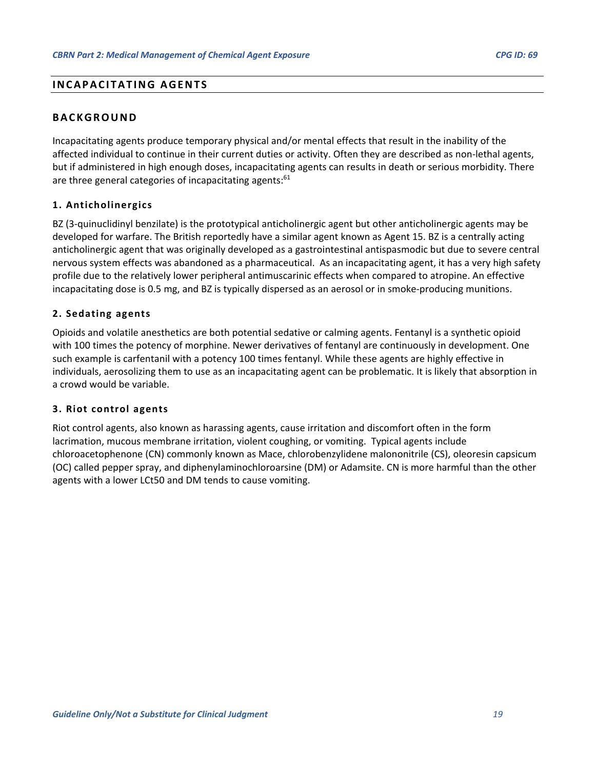# <span id="page-18-0"></span>**INCAPACITATING AGENTS**

# <span id="page-18-1"></span>**BACKGROUND**

Incapacitating agents produce temporary physical and/or mental effects that result in the inability of the affected individual to continue in their current duties or activity. Often they are described as non-lethal agents, but if administered in high enough doses, incapacitating agents can results in death or serious morbidity. There are three general categories of incapacitating agents:<sup>61</sup>

## <span id="page-18-2"></span>**1. Anticholinergics**

BZ (3-quinuclidinyl benzilate) is the prototypical anticholinergic agent but other anticholinergic agents may be developed for warfare. The British reportedly have a similar agent known as Agent 15. BZ is a centrally acting anticholinergic agent that was originally developed as a gastrointestinal antispasmodic but due to severe central nervous system effects was abandoned as a pharmaceutical. As an incapacitating agent, it has a very high safety profile due to the relatively lower peripheral antimuscarinic effects when compared to atropine. An effective incapacitating dose is 0.5 mg, and BZ is typically dispersed as an aerosol or in smoke-producing munitions.

## <span id="page-18-3"></span>**2. Sedating agents**

Opioids and volatile anesthetics are both potential sedative or calming agents. Fentanyl is a synthetic opioid with 100 times the potency of morphine. Newer derivatives of fentanyl are continuously in development. One such example is carfentanil with a potency 100 times fentanyl. While these agents are highly effective in individuals, aerosolizing them to use as an incapacitating agent can be problematic. It is likely that absorption in a crowd would be variable.

#### <span id="page-18-4"></span>**3. Riot control agents**

Riot control agents, also known as harassing agents, cause irritation and discomfort often in the form lacrimation, mucous membrane irritation, violent coughing, or vomiting. Typical agents include chloroacetophenone (CN) commonly known as Mace, chlorobenzylidene malononitrile (CS), oleoresin capsicum (OC) called pepper spray, and diphenylaminochloroarsine (DM) or Adamsite. CN is more harmful than the other agents with a lower LCt50 and DM tends to cause vomiting.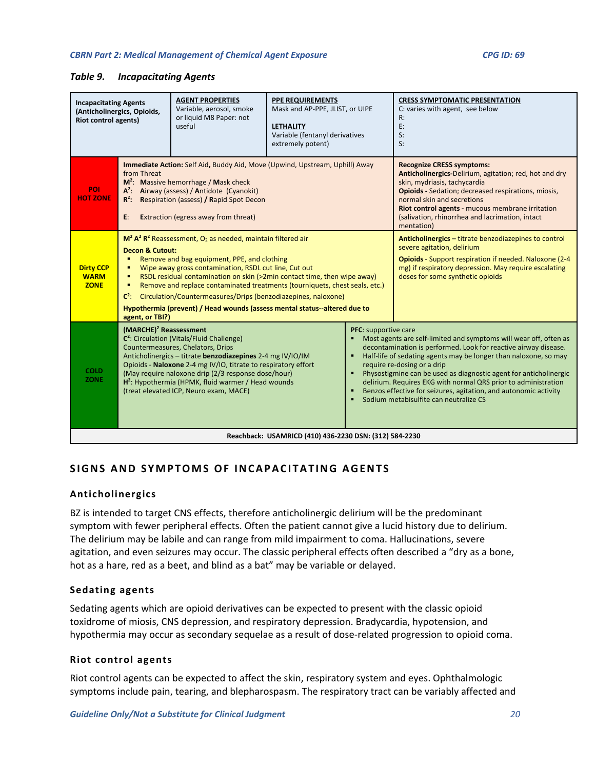#### <span id="page-19-4"></span>*Table 9. Incapacitating Agents*

| <b>Incapacitating Agents</b><br>(Anticholinergics, Opioids,<br><b>Riot control agents)</b> |                                                                                                                                                                                                                                                                                                                                                                                                                                                                                                                                                                                                                                                                                                                                                                                                                                   | <b>AGENT PROPERTIES</b><br>Variable, aerosol, smoke<br>or liquid M8 Paper: not<br>useful                                                                                                                                                                                   | <b>PPE REQUIREMENTS</b><br>Mask and AP-PPE, JLIST, or UIPE<br><b>LETHALITY</b><br>Variable (fentanyl derivatives<br>extremely potent)                                                                                                                                                                                                       |   | <b>CRESS SYMPTOMATIC PRESENTATION</b><br>C: varies with agent, see below<br>R:<br>E:<br>$S$ :<br>$S$ :                                                                                                                                                                                                                                                                                                                                                                                                               |  |  |
|--------------------------------------------------------------------------------------------|-----------------------------------------------------------------------------------------------------------------------------------------------------------------------------------------------------------------------------------------------------------------------------------------------------------------------------------------------------------------------------------------------------------------------------------------------------------------------------------------------------------------------------------------------------------------------------------------------------------------------------------------------------------------------------------------------------------------------------------------------------------------------------------------------------------------------------------|----------------------------------------------------------------------------------------------------------------------------------------------------------------------------------------------------------------------------------------------------------------------------|---------------------------------------------------------------------------------------------------------------------------------------------------------------------------------------------------------------------------------------------------------------------------------------------------------------------------------------------|---|----------------------------------------------------------------------------------------------------------------------------------------------------------------------------------------------------------------------------------------------------------------------------------------------------------------------------------------------------------------------------------------------------------------------------------------------------------------------------------------------------------------------|--|--|
| <b>POI</b><br><b>HOT ZONE</b>                                                              | from Threat<br>$R^2$ :<br>E:                                                                                                                                                                                                                                                                                                                                                                                                                                                                                                                                                                                                                                                                                                                                                                                                      | Immediate Action: Self Aid, Buddy Aid, Move (Upwind, Upstream, Uphill) Away<br>$M^2$ : Massive hemorrhage / Mask check<br>A <sup>2</sup> : Airway (assess) / Antidote (Cyanokit)<br>Respiration (assess) / Rapid Spot Decon<br><b>Extraction (egress away from threat)</b> | <b>Recognize CRESS symptoms:</b><br>Anticholinergics-Delirium, agitation; red, hot and dry<br>skin, mydriasis, tachycardia<br><b>Opioids</b> - Sedation; decreased respirations, miosis,<br>normal skin and secretions<br>Riot control agents - mucous membrane irritation<br>(salivation, rhinorrhea and lacrimation, intact<br>mentation) |   |                                                                                                                                                                                                                                                                                                                                                                                                                                                                                                                      |  |  |
| <b>Dirty CCP</b><br><b>WARM</b><br><b>ZONE</b>                                             | $M^2$ A <sup>2</sup> R <sup>2</sup> Reassessment, $O_2$ as needed, maintain filtered air<br>Anticholinergics - titrate benzodiazepines to control<br>severe agitation, delirium<br><b>Decon &amp; Cutout:</b><br>Remove and bag equipment, PPE, and clothing<br>Opioids - Support respiration if needed. Naloxone (2-4<br>$\blacksquare$<br>mg) if respiratory depression. May require escalating<br>Wipe away gross contamination, RSDL cut line, Cut out<br>٠<br>RSDL residual contamination on skin (>2min contact time, then wipe away)<br>doses for some synthetic opioids<br>٠<br>Remove and replace contaminated treatments (tourniquets, chest seals, etc.)<br>٠<br>Circulation/Countermeasures/Drips (benzodiazepines, naloxone)<br>$C^2$ :<br>Hypothermia (prevent) / Head wounds (assess mental status--altered due to |                                                                                                                                                                                                                                                                            |                                                                                                                                                                                                                                                                                                                                             |   |                                                                                                                                                                                                                                                                                                                                                                                                                                                                                                                      |  |  |
| <b>COLD</b><br><b>ZONE</b>                                                                 | agent, or TBI?)<br>$(MARCHE)^2$ Reassessment<br>C <sup>2</sup> : Circulation (Vitals/Fluid Challenge)<br>Countermeasures, Chelators, Drips<br>Anticholinergics - titrate benzodiazepines 2-4 mg IV/IO/IM<br>Opioids - Naloxone 2-4 mg IV/IO, titrate to respiratory effort<br>(May require naloxone drip (2/3 response dose/hour)<br>H <sup>2</sup> : Hypothermia (HPMK, fluid warmer / Head wounds<br>(treat elevated ICP, Neuro exam, MACE)                                                                                                                                                                                                                                                                                                                                                                                     |                                                                                                                                                                                                                                                                            |                                                                                                                                                                                                                                                                                                                                             | п | PFC: supportive care<br>Most agents are self-limited and symptoms will wear off, often as<br>decontamination is performed. Look for reactive airway disease.<br>Half-life of sedating agents may be longer than naloxone, so may<br>require re-dosing or a drip<br>Physostigmine can be used as diagnostic agent for anticholinergic<br>delirium. Requires EKG with normal QRS prior to administration<br>Benzos effective for seizures, agitation, and autonomic activity<br>Sodium metabisulfite can neutralize CS |  |  |
| Reachback: USAMRICD (410) 436-2230 DSN: (312) 584-2230                                     |                                                                                                                                                                                                                                                                                                                                                                                                                                                                                                                                                                                                                                                                                                                                                                                                                                   |                                                                                                                                                                                                                                                                            |                                                                                                                                                                                                                                                                                                                                             |   |                                                                                                                                                                                                                                                                                                                                                                                                                                                                                                                      |  |  |

# <span id="page-19-0"></span>**SIGNS AND SYMPTOMS OF INCAPACITATING AGENTS**

#### <span id="page-19-1"></span>**Anticholinergics**

BZ is intended to target CNS effects, therefore anticholinergic delirium will be the predominant symptom with fewer peripheral effects. Often the patient cannot give a lucid history due to delirium. The delirium may be labile and can range from mild impairment to coma. Hallucinations, severe agitation, and even seizures may occur. The classic peripheral effects often described a "dry as a bone, hot as a hare, red as a beet, and blind as a bat" may be variable or delayed.

#### <span id="page-19-2"></span>**Sedating agents**

Sedating agents which are opioid derivatives can be expected to present with the classic opioid toxidrome of miosis, CNS depression, and respiratory depression. Bradycardia, hypotension, and hypothermia may occur as secondary sequelae as a result of dose-related progression to opioid coma.

#### <span id="page-19-3"></span>**Riot control agents**

Riot control agents can be expected to affect the skin, respiratory system and eyes. Ophthalmologic symptoms include pain, tearing, and blepharospasm. The respiratory tract can be variably affected and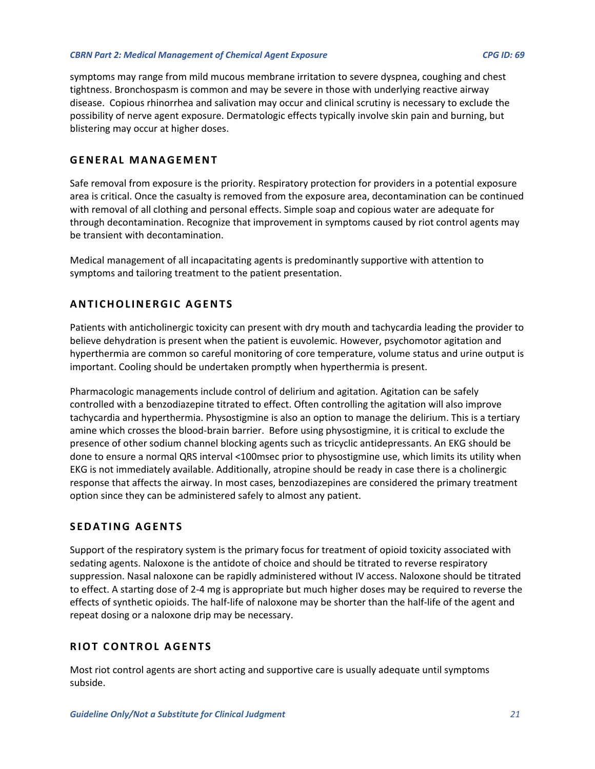symptoms may range from mild mucous membrane irritation to severe dyspnea, coughing and chest tightness. Bronchospasm is common and may be severe in those with underlying reactive airway disease. Copious rhinorrhea and salivation may occur and clinical scrutiny is necessary to exclude the possibility of nerve agent exposure. Dermatologic effects typically involve skin pain and burning, but blistering may occur at higher doses.

# <span id="page-20-0"></span>**GENERAL MANAGEMENT**

Safe removal from exposure is the priority. Respiratory protection for providers in a potential exposure area is critical. Once the casualty is removed from the exposure area, decontamination can be continued with removal of all clothing and personal effects. Simple soap and copious water are adequate for through decontamination. Recognize that improvement in symptoms caused by riot control agents may be transient with decontamination.

Medical management of all incapacitating agents is predominantly supportive with attention to symptoms and tailoring treatment to the patient presentation.

# <span id="page-20-1"></span>**ANTICHOLINERGIC AGENTS**

Patients with anticholinergic toxicity can present with dry mouth and tachycardia leading the provider to believe dehydration is present when the patient is euvolemic. However, psychomotor agitation and hyperthermia are common so careful monitoring of core temperature, volume status and urine output is important. Cooling should be undertaken promptly when hyperthermia is present.

Pharmacologic managements include control of delirium and agitation. Agitation can be safely controlled with a benzodiazepine titrated to effect. Often controlling the agitation will also improve tachycardia and hyperthermia. Physostigmine is also an option to manage the delirium. This is a tertiary amine which crosses the blood-brain barrier. Before using physostigmine, it is critical to exclude the presence of other sodium channel blocking agents such as tricyclic antidepressants. An EKG should be done to ensure a normal QRS interval <100msec prior to physostigmine use, which limits its utility when EKG is not immediately available. Additionally, atropine should be ready in case there is a cholinergic response that affects the airway. In most cases, benzodiazepines are considered the primary treatment option since they can be administered safely to almost any patient.

# <span id="page-20-2"></span>**SEDATING AGENTS**

Support of the respiratory system is the primary focus for treatment of opioid toxicity associated with sedating agents. Naloxone is the antidote of choice and should be titrated to reverse respiratory suppression. Nasal naloxone can be rapidly administered without IV access. Naloxone should be titrated to effect. A starting dose of 2-4 mg is appropriate but much higher doses may be required to reverse the effects of synthetic opioids. The half-life of naloxone may be shorter than the half-life of the agent and repeat dosing or a naloxone drip may be necessary.

# <span id="page-20-3"></span>**RIOT CONTROL AGENTS**

Most riot control agents are short acting and supportive care is usually adequate until symptoms subside.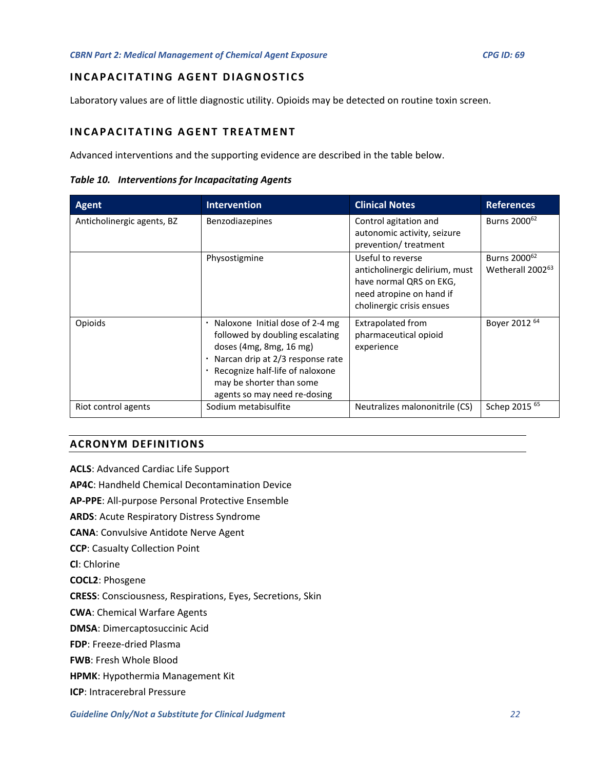# <span id="page-21-0"></span>**INCAPACITATING AGENT DIAGNOSTICS**

Laboratory values are of little diagnostic utility. Opioids may be detected on routine toxin screen.

# <span id="page-21-1"></span>**INCAPACITATING AGENT TREATMENT**

Advanced interventions and the supporting evidence are described in the table below.

<span id="page-21-2"></span>*Table 10. Interventions for Incapacitating Agents*

| Agent                      | <b>Intervention</b>                                                                                                                                                                                                              | <b>Clinical Notes</b>                                                                                                                   | <b>References</b>                                        |
|----------------------------|----------------------------------------------------------------------------------------------------------------------------------------------------------------------------------------------------------------------------------|-----------------------------------------------------------------------------------------------------------------------------------------|----------------------------------------------------------|
| Anticholinergic agents, BZ | Benzodiazepines                                                                                                                                                                                                                  | Control agitation and<br>autonomic activity, seizure<br>prevention/treatment                                                            | Burns 2000 <sup>62</sup>                                 |
|                            | Physostigmine                                                                                                                                                                                                                    | Useful to reverse<br>anticholinergic delirium, must<br>have normal QRS on EKG,<br>need atropine on hand if<br>cholinergic crisis ensues | Burns 2000 <sup>62</sup><br>Wetherall 2002 <sup>63</sup> |
| Opioids                    | Naloxone Initial dose of 2-4 mg<br>followed by doubling escalating<br>doses (4mg, 8mg, 16 mg)<br>Narcan drip at 2/3 response rate<br>Recognize half-life of naloxone<br>may be shorter than some<br>agents so may need re-dosing | Extrapolated from<br>pharmaceutical opioid<br>experience                                                                                | Boyer 2012 64                                            |
| Riot control agents        | Sodium metabisulfite                                                                                                                                                                                                             | Neutralizes malononitrile (CS)                                                                                                          | Schep 2015 <sup>65</sup>                                 |

## **ACRONYM DEFINITIONS**

**ACLS**: Advanced Cardiac Life Support

**AP4C**: Handheld Chemical Decontamination Device

**AP-PPE**: All-purpose Personal Protective Ensemble

**ARDS**: Acute Respiratory Distress Syndrome

**CANA**: Convulsive Antidote Nerve Agent

**CCP**: Casualty Collection Point

**Cl**: Chlorine

**COCL2**: Phosgene

**CRESS**: Consciousness, Respirations, Eyes, Secretions, Skin

**CWA**: Chemical Warfare Agents

**DMSA**: Dimercaptosuccinic Acid

**FDP**: Freeze-dried Plasma

**FWB**: Fresh Whole Blood

**HPMK**: Hypothermia Management Kit

**ICP**: Intracerebral Pressure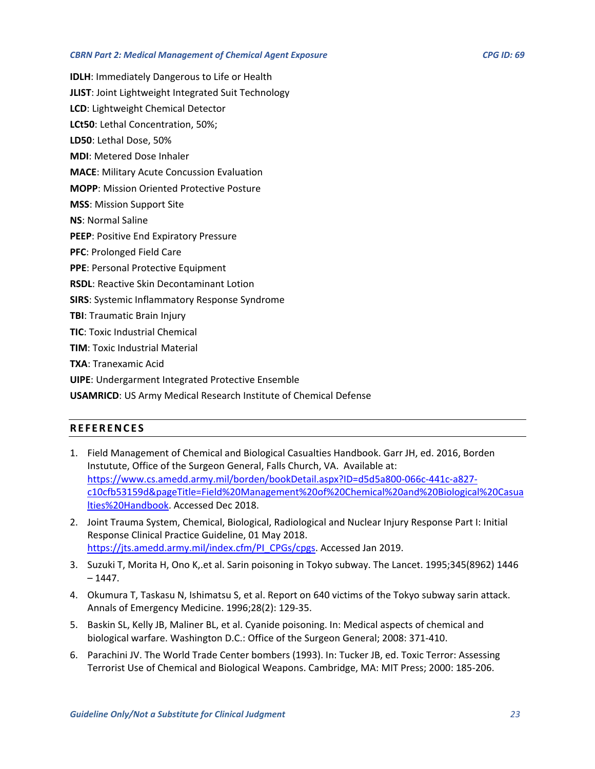**IDLH**: Immediately Dangerous to Life or Health

**JLIST**: Joint Lightweight Integrated Suit Technology

**LCD**: Lightweight Chemical Detector

**LCt50**: Lethal Concentration, 50%;

**LD50**: Lethal Dose, 50%

**MDI**: Metered Dose Inhaler

**MACE**: Military Acute Concussion Evaluation

**MOPP**: Mission Oriented Protective Posture

**MSS**: Mission Support Site

**NS**: Normal Saline

**PEEP**: Positive End Expiratory Pressure

**PFC**: Prolonged Field Care

**PPE**: Personal Protective Equipment

**RSDL**: Reactive Skin Decontaminant Lotion

**SIRS**: Systemic Inflammatory Response Syndrome

**TBI**: Traumatic Brain Injury

**TIC**: Toxic Industrial Chemical

**TIM**: Toxic Industrial Material

**TXA**: Tranexamic Acid

**UIPE**: Undergarment Integrated Protective Ensemble

<span id="page-22-0"></span>**USAMRICD**: US Army Medical Research Institute of Chemical Defense

# **REFERENCES**

- 1. Field Management of Chemical and Biological Casualties Handbook. Garr JH, ed. 2016, Borden Instutute, Office of the Surgeon General, Falls Church, VA. Available at: [https://www.cs.amedd.army.mil/borden/bookDetail.aspx?ID=d5d5a800-066c-441c-a827](https://www.cs.amedd.army.mil/borden/bookDetail.aspx?ID=d5d5a800-066c-441c-a827-c10cfb53159d&pageTitle=Field%20Management%20of%20Chemical%20and%20Biological%20Casualties%20Handbook) [c10cfb53159d&pageTitle=Field%20Management%20of%20Chemical%20and%20Biological%20Casua](https://www.cs.amedd.army.mil/borden/bookDetail.aspx?ID=d5d5a800-066c-441c-a827-c10cfb53159d&pageTitle=Field%20Management%20of%20Chemical%20and%20Biological%20Casualties%20Handbook) [lties%20Handbook.](https://www.cs.amedd.army.mil/borden/bookDetail.aspx?ID=d5d5a800-066c-441c-a827-c10cfb53159d&pageTitle=Field%20Management%20of%20Chemical%20and%20Biological%20Casualties%20Handbook) Accessed Dec 2018.
- 2. Joint Trauma System, Chemical, Biological, Radiological and Nuclear Injury Response Part I: Initial Response Clinical Practice Guideline, 01 May 2018. [https://jts.amedd.army.mil/index.cfm/PI\\_CPGs/cpgs.](https://jts.amedd.army.mil/index.cfm/PI_CPGs/cpgs) Accessed Jan 2019.
- 3. Suzuki T, Morita H, Ono K,.et al. Sarin poisoning in Tokyo subway. The Lancet. 1995;345(8962) 1446  $-1447.$
- 4. Okumura T, Taskasu N, Ishimatsu S, et al. Report on 640 victims of the Tokyo subway sarin attack. Annals of Emergency Medicine. 1996;28(2): 129-35.
- 5. Baskin SL, Kelly JB, Maliner BL, et al. Cyanide poisoning. In: Medical aspects of chemical and biological warfare. Washington D.C.: Office of the Surgeon General; 2008: 371-410.
- 6. Parachini JV. The World Trade Center bombers (1993). In: Tucker JB, ed. Toxic Terror: Assessing Terrorist Use of Chemical and Biological Weapons. Cambridge, MA: MIT Press; 2000: 185-206.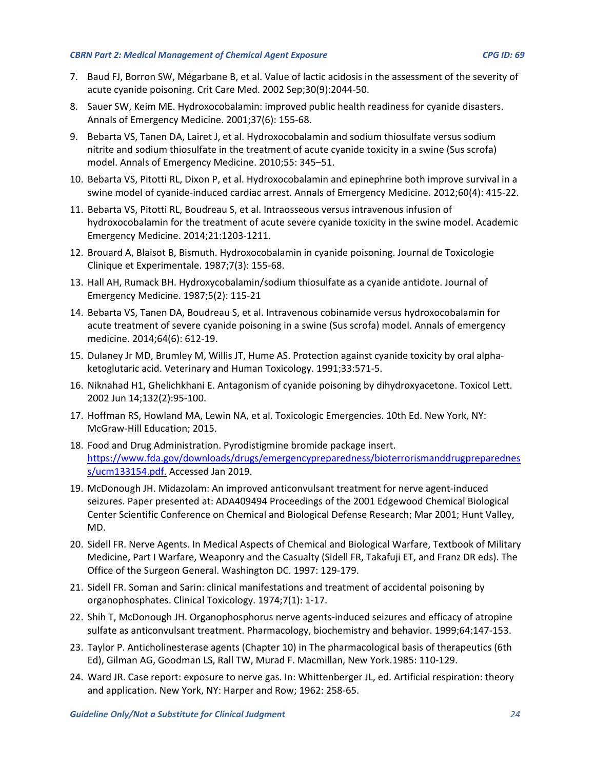- 7. Baud FJ, Borron SW, Mégarbane B, et al. Value of lactic acidosis in the assessment of the severity of acute cyanide poisoning. Crit Care Med. 2002 Sep;30(9):2044-50.
- 8. Sauer SW, Keim ME. Hydroxocobalamin: improved public health readiness for cyanide disasters. Annals of Emergency Medicine. 2001;37(6): 155-68.
- 9. Bebarta VS, Tanen DA, Lairet J, et al. Hydroxocobalamin and sodium thiosulfate versus sodium nitrite and sodium thiosulfate in the treatment of acute cyanide toxicity in a swine (Sus scrofa) model. Annals of Emergency Medicine. 2010;55: 345–51.
- 10. Bebarta VS, Pitotti RL, Dixon P, et al. Hydroxocobalamin and epinephrine both improve survival in a swine model of cyanide-induced cardiac arrest. Annals of Emergency Medicine. 2012;60(4): 415-22.
- 11. Bebarta VS, Pitotti RL, Boudreau S, et al. Intraosseous versus intravenous infusion of hydroxocobalamin for the treatment of acute severe cyanide toxicity in the swine model. Academic Emergency Medicine. 2014;21:1203-1211.
- 12. Brouard A, Blaisot B, Bismuth. Hydroxocobalamin in cyanide poisoning. Journal de Toxicologie Clinique et Experimentale. 1987;7(3): 155-68.
- 13. Hall AH, Rumack BH. Hydroxycobalamin/sodium thiosulfate as a cyanide antidote. Journal of Emergency Medicine. 1987;5(2): 115-21
- 14. Bebarta VS, Tanen DA, Boudreau S, et al. Intravenous cobinamide versus hydroxocobalamin for acute treatment of severe cyanide poisoning in a swine (Sus scrofa) model. Annals of emergency medicine. 2014;64(6): 612-19.
- 15. Dulaney Jr MD, Brumley M, Willis JT, Hume AS. Protection against cyanide toxicity by oral alphaketoglutaric acid. Veterinary and Human Toxicology. 1991;33:571-5.
- 16. Niknahad H1, Ghelichkhani E. Antagonism of cyanide poisoning by dihydroxyacetone. Toxicol Lett. 2002 Jun 14;132(2):95-100.
- 17. Hoffman RS, Howland MA, Lewin NA, et al. Toxicologic Emergencies. 10th Ed. New York, NY: McGraw-Hill Education; 2015.
- 18. Food and Drug Administration. Pyrodistigmine bromide package insert. [https://www.fda.gov/downloads/drugs/emergencypreparedness/bioterrorismanddrugpreparednes](https://www.fda.gov/downloads/drugs/emergencypreparedness/bioterrorismanddrugpreparedness/ucm133154.pdf.) [s/ucm133154.pdf.](https://www.fda.gov/downloads/drugs/emergencypreparedness/bioterrorismanddrugpreparedness/ucm133154.pdf.) Accessed Jan 2019.
- 19. McDonough JH. Midazolam: An improved anticonvulsant treatment for nerve agent-induced seizures. Paper presented at: ADA409494 Proceedings of the 2001 Edgewood Chemical Biological Center Scientific Conference on Chemical and Biological Defense Research; Mar 2001; Hunt Valley, MD.
- 20. Sidell FR. Nerve Agents. In Medical Aspects of Chemical and Biological Warfare, Textbook of Military Medicine, Part I Warfare, Weaponry and the Casualty (Sidell FR, Takafuji ET, and Franz DR eds). The Office of the Surgeon General. Washington DC. 1997: 129-179.
- 21. Sidell FR. Soman and Sarin: clinical manifestations and treatment of accidental poisoning by organophosphates. Clinical Toxicology. 1974;7(1): 1-17.
- 22. Shih T, McDonough JH. Organophosphorus nerve agents-induced seizures and efficacy of atropine sulfate as anticonvulsant treatment. Pharmacology, biochemistry and behavior. 1999;64:147-153.
- 23. Taylor P. Anticholinesterase agents (Chapter 10) in The pharmacological basis of therapeutics (6th Ed), Gilman AG, Goodman LS, Rall TW, Murad F. Macmillan, New York.1985: 110-129.
- 24. Ward JR. Case report: exposure to nerve gas. In: Whittenberger JL, ed. Artificial respiration: theory and application. New York, NY: Harper and Row; 1962: 258-65.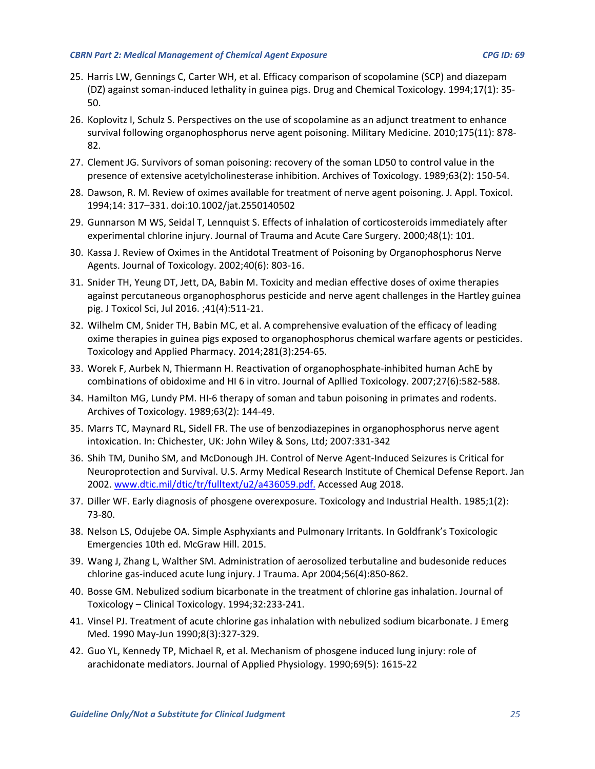- 25. Harris LW, Gennings C, Carter WH, et al. Efficacy comparison of scopolamine (SCP) and diazepam (DZ) against soman-induced lethality in guinea pigs. Drug and Chemical Toxicology. 1994;17(1): 35- 50.
- 26. Koplovitz I, Schulz S. Perspectives on the use of scopolamine as an adjunct treatment to enhance survival following organophosphorus nerve agent poisoning. Military Medicine. 2010;175(11): 878- 82.
- 27. Clement JG. Survivors of soman poisoning: recovery of the soman LD50 to control value in the presence of extensive acetylcholinesterase inhibition. Archives of Toxicology. 1989;63(2): 150-54.
- 28. Dawson, R. M. Review of oximes available for treatment of nerve agent poisoning. J. Appl. Toxicol. 1994;14: 317–331. doi:10.1002/jat.2550140502
- 29. Gunnarson M WS, Seidal T, Lennquist S. Effects of inhalation of corticosteroids immediately after experimental chlorine injury. Journal of Trauma and Acute Care Surgery. 2000;48(1): 101.
- 30. Kassa J. Review of Oximes in the Antidotal Treatment of Poisoning by Organophosphorus Nerve Agents. Journal of Toxicology. 2002;40(6): 803-16.
- 31. Snider TH, Yeung DT, Jett, DA, Babin M. Toxicity and median effective doses of oxime therapies against percutaneous organophosphorus pesticide and nerve agent challenges in the Hartley guinea pig. J Toxicol Sci, Jul 2016. ;41(4):511-21.
- 32. Wilhelm CM, Snider TH, Babin MC, et al. A comprehensive evaluation of the efficacy of leading oxime therapies in guinea pigs exposed to organophosphorus chemical warfare agents or pesticides. Toxicology and Applied Pharmacy. 2014;281(3):254-65.
- 33. Worek F, Aurbek N, Thiermann H. Reactivation of organophosphate-inhibited human AchE by combinations of obidoxime and HI 6 in vitro. Journal of Apllied Toxicology. 2007;27(6):582-588.
- 34. Hamilton MG, Lundy PM. HI-6 therapy of soman and tabun poisoning in primates and rodents. Archives of Toxicology. 1989;63(2): 144-49.
- 35. Marrs TC, Maynard RL, Sidell FR. The use of benzodiazepines in organophosphorus nerve agent intoxication. In: Chichester, UK: John Wiley & Sons, Ltd; 2007:331-342
- 36. Shih TM, Duniho SM, and McDonough JH. Control of Nerve Agent-Induced Seizures is Critical for Neuroprotection and Survival. U.S. Army Medical Research Institute of Chemical Defense Report. Jan 2002. www.dtic.mil/dtic/tr/fulltext/u2/a436059.pdf. Accessed Aug 2018.
- 37. Diller WF. Early diagnosis of phosgene overexposure. Toxicology and Industrial Health. 1985;1(2): 73-80.
- 38. Nelson LS, Odujebe OA. Simple Asphyxiants and Pulmonary Irritants. In Goldfrank's Toxicologic Emergencies 10th ed. McGraw Hill. 2015.
- 39. Wang J, Zhang L, Walther SM. Administration of aerosolized terbutaline and budesonide reduces chlorine gas-induced acute lung injury. J Trauma. Apr 2004;56(4):850-862.
- 40. Bosse GM. Nebulized sodium bicarbonate in the treatment of chlorine gas inhalation. Journal of Toxicology – Clinical Toxicology. 1994;32:233-241.
- 41. Vinsel PJ. Treatment of acute chlorine gas inhalation with nebulized sodium bicarbonate. J Emerg Med. 1990 May-Jun 1990;8(3):327-329.
- 42. Guo YL, Kennedy TP, Michael R, et al. Mechanism of phosgene induced lung injury: role of arachidonate mediators. Journal of Applied Physiology. 1990;69(5): 1615-22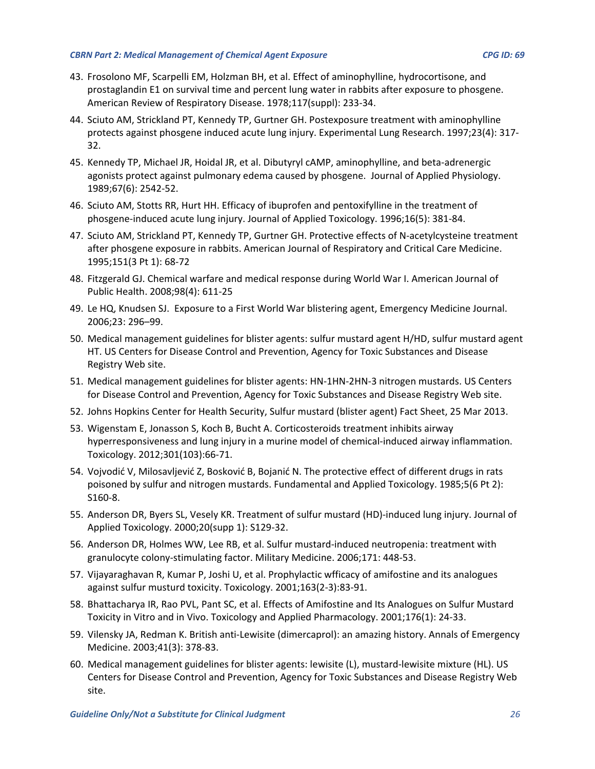- 43. Frosolono MF, Scarpelli EM, Holzman BH, et al. Effect of aminophylline, hydrocortisone, and prostaglandin E1 on survival time and percent lung water in rabbits after exposure to phosgene. American Review of Respiratory Disease. 1978;117(suppl): 233-34.
- 44. Sciuto AM, Strickland PT, Kennedy TP, Gurtner GH. Postexposure treatment with aminophylline protects against phosgene induced acute lung injury. Experimental Lung Research. 1997;23(4): 317- 32.
- 45. Kennedy TP, Michael JR, Hoidal JR, et al. Dibutyryl cAMP, aminophylline, and beta-adrenergic agonists protect against pulmonary edema caused by phosgene. Journal of Applied Physiology. 1989;67(6): 2542-52.
- 46. Sciuto AM, Stotts RR, Hurt HH. Efficacy of ibuprofen and pentoxifylline in the treatment of phosgene-induced acute lung injury. Journal of Applied Toxicology. 1996;16(5): 381-84.
- 47. Sciuto AM, Strickland PT, Kennedy TP, Gurtner GH. Protective effects of N-acetylcysteine treatment after phosgene exposure in rabbits. American Journal of Respiratory and Critical Care Medicine. 1995;151(3 Pt 1): 68-72
- 48. Fitzgerald GJ. Chemical warfare and medical response during World War I. American Journal of Public Health. 2008;98(4): 611-25
- 49. Le HQ, Knudsen SJ. Exposure to a First World War blistering agent, Emergency Medicine Journal. 2006;23: 296–99.
- 50. Medical management guidelines for blister agents: sulfur mustard agent H/HD, sulfur mustard agent HT. US Centers for Disease Control and Prevention, Agency for Toxic Substances and Disease Registry Web site.
- 51. Medical management guidelines for blister agents: HN-1HN-2HN-3 nitrogen mustards. US Centers for Disease Control and Prevention, Agency for Toxic Substances and Disease Registry Web site.
- 52. Johns Hopkins Center for Health Security, Sulfur mustard (blister agent) Fact Sheet, 25 Mar 2013.
- 53. Wigenstam E, Jonasson S, Koch B, Bucht A. Corticosteroids treatment inhibits airway hyperresponsiveness and lung injury in a murine model of chemical-induced airway inflammation. Toxicology. 2012;301(103):66-71.
- 54. Vojvodić V, Milosavljević Z, Bosković B, Bojanić N. The protective effect of different drugs in rats poisoned by sulfur and nitrogen mustards. Fundamental and Applied Toxicology. 1985;5(6 Pt 2): S160-8.
- 55. Anderson DR, Byers SL, Vesely KR. Treatment of sulfur mustard (HD)-induced lung injury. Journal of Applied Toxicology. 2000;20(supp 1): S129-32.
- 56. Anderson DR, Holmes WW, Lee RB, et al. Sulfur mustard-induced neutropenia: treatment with granulocyte colony-stimulating factor. Military Medicine. 2006;171: 448-53.
- 57. Vijayaraghavan R, Kumar P, Joshi U, et al. Prophylactic wfficacy of amifostine and its analogues against sulfur musturd toxicity. Toxicology. 2001;163(2-3):83-91.
- 58. Bhattacharya IR, Rao PVL, Pant SC, et al. Effects of Amifostine and Its Analogues on Sulfur Mustard Toxicity in Vitro and in Vivo. Toxicology and Applied Pharmacology. 2001;176(1): 24-33.
- 59. Vilensky JA, Redman K. British anti-Lewisite (dimercaprol): an amazing history. Annals of Emergency Medicine. 2003;41(3): 378-83.
- 60. Medical management guidelines for blister agents: lewisite (L), mustard-lewisite mixture (HL). US Centers for Disease Control and Prevention, Agency for Toxic Substances and Disease Registry Web site.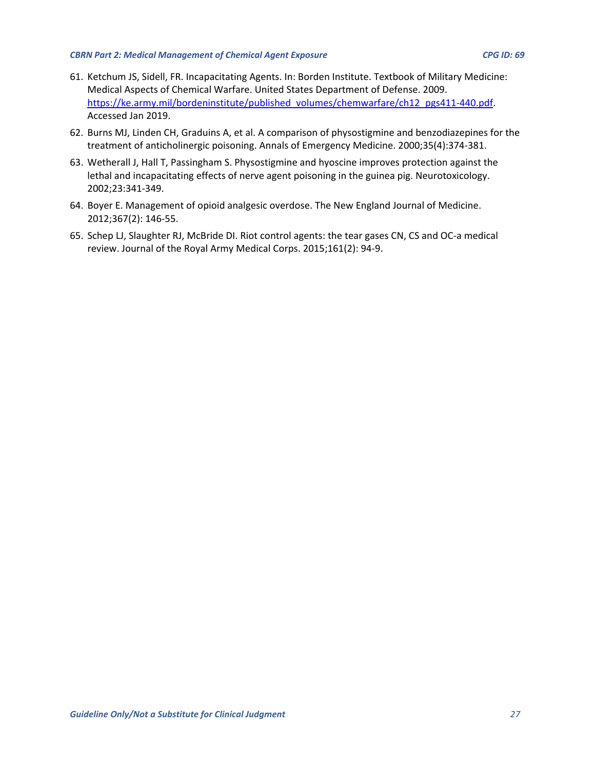- 61. Ketchum JS, Sidell, FR. Incapacitating Agents. In: Borden Institute. Textbook of Military Medicine: Medical Aspects of Chemical Warfare. United States Department of Defense. 2009. [https://ke.army.mil/bordeninstitute/published\\_volumes/chemwarfare/ch12\\_pgs411-440.pdf.](https://ke.army.mil/bordeninstitute/published_volumes/chemwarfare/ch12_pgs411-440.pdf) Accessed Jan 2019.
- 62. Burns MJ, Linden CH, Graduins A, et al. A comparison of physostigmine and benzodiazepines for the treatment of anticholinergic poisoning. Annals of Emergency Medicine. 2000;35(4):374-381.
- 63. Wetherall J, Hall T, Passingham S. Physostigmine and hyoscine improves protection against the lethal and incapacitating effects of nerve agent poisoning in the guinea pig. Neurotoxicology. 2002;23:341-349.
- 64. Boyer E. Management of opioid analgesic overdose. The New England Journal of Medicine. 2012;367(2): 146-55.
- 65. Schep LJ, Slaughter RJ, McBride DI. Riot control agents: the tear gases CN, CS and OC-a medical review. Journal of the Royal Army Medical Corps. 2015;161(2): 94-9.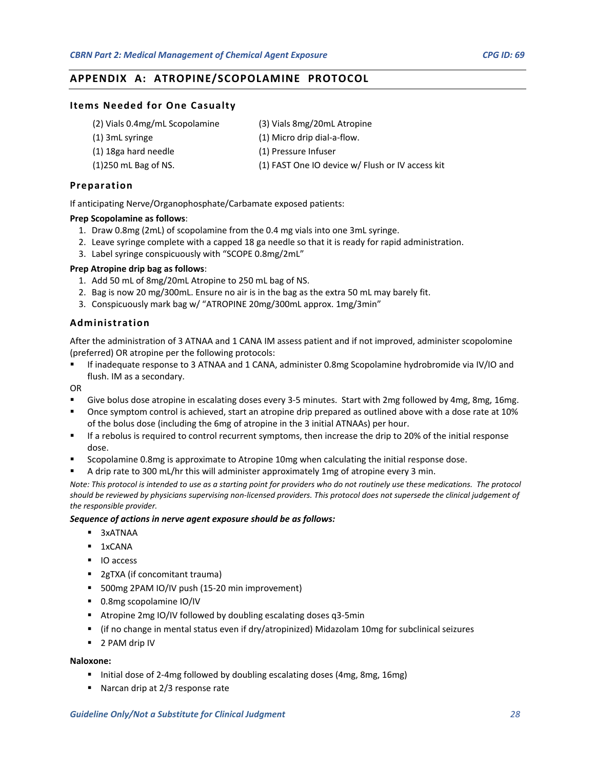# <span id="page-27-0"></span>**APPENDIX A: ATROPINE/SCOPOLAMINE PROTOCOL**

#### **Items Needed for One Casualty**

- (2) Vials 0.4mg/mL Scopolamine
- (1) 3mL syringe
- (1) 18ga hard needle
- (1)250 mL Bag of NS.

(1) Pressure Infuser

(3) Vials 8mg/20mL Atropine (1) Micro drip dial-a-flow.

- 
- (1) FAST One IO device w/ Flush or IV access kit

#### **Preparation**

If anticipating Nerve/Organophosphate/Carbamate exposed patients:

#### **Prep Scopolamine as follows**:

- 1. Draw 0.8mg (2mL) of scopolamine from the 0.4 mg vials into one 3mL syringe.
- 2. Leave syringe complete with a capped 18 ga needle so that it is ready for rapid administration.
- 3. Label syringe conspicuously with "SCOPE 0.8mg/2mL"

#### **Prep Atropine drip bag as follows**:

- 1. Add 50 mL of 8mg/20mL Atropine to 250 mL bag of NS.
- 2. Bag is now 20 mg/300mL. Ensure no air is in the bag as the extra 50 mL may barely fit.
- 3. Conspicuously mark bag w/ "ATROPINE 20mg/300mL approx. 1mg/3min"

#### **Administration**

After the administration of 3 ATNAA and 1 CANA IM assess patient and if not improved, administer scopolomine (preferred) OR atropine per the following protocols:

 If inadequate response to 3 ATNAA and 1 CANA, administer 0.8mg Scopolamine hydrobromide via IV/IO and flush. IM as a secondary.

OR

- Give bolus dose atropine in escalating doses every 3-5 minutes. Start with 2mg followed by 4mg, 8mg, 16mg.
- Once symptom control is achieved, start an atropine drip prepared as outlined above with a dose rate at 10% of the bolus dose (including the 6mg of atropine in the 3 initial ATNAAs) per hour.
- If a rebolus is required to control recurrent symptoms, then increase the drip to 20% of the initial response dose.
- Scopolamine 0.8mg is approximate to Atropine 10mg when calculating the initial response dose.
- A drip rate to 300 mL/hr this will administer approximately 1mg of atropine every 3 min.

*Note: This protocol is intended to use as a starting point for providers who do not routinely use these medications. The protocol should be reviewed by physicians supervising non-licensed providers. This protocol does not supersede the clinical judgement of the responsible provider.*

#### *Sequence of actions in nerve agent exposure should be as follows:*

- 3xATNAA
- $-1xCANA$
- **IO** access
- **2gTXA (if concomitant trauma)**
- 500mg 2PAM IO/IV push (15-20 min improvement)
- 0.8mg scopolamine IO/IV
- Atropine 2mg IO/IV followed by doubling escalating doses q3-5min
- (if no change in mental status even if dry/atropinized) Midazolam 10mg for subclinical seizures
- 2 PAM drip IV

#### **Naloxone:**

- Initial dose of 2-4mg followed by doubling escalating doses (4mg, 8mg, 16mg)
- Narcan drip at 2/3 response rate

#### *Guideline Only/Not a Substitute for Clinical Judgment 28*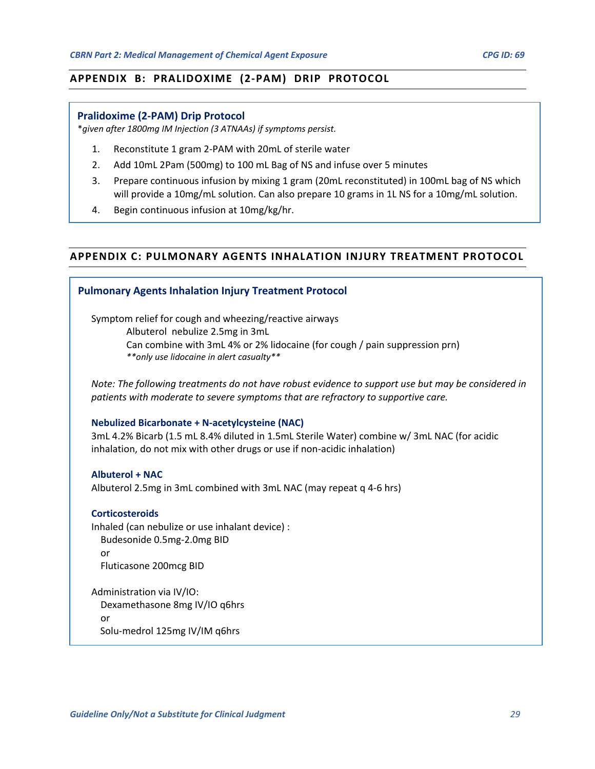## <span id="page-28-0"></span>**APPENDIX B: PRALIDOXIME (2-PAM) DRIP PROTOCOL**

#### **Pralidoxime (2-PAM) Drip Protocol**

\**given after 1800mg IM Injection (3 ATNAAs) if symptoms persist.*

- 1. Reconstitute 1 gram 2-PAM with 20mL of sterile water
- 2. Add 10mL 2Pam (500mg) to 100 mL Bag of NS and infuse over 5 minutes
- 3. Prepare continuous infusion by mixing 1 gram (20mL reconstituted) in 100mL bag of NS which will provide a 10mg/mL solution. Can also prepare 10 grams in 1L NS for a 10mg/mL solution.
- 4. Begin continuous infusion at 10mg/kg/hr.

# <span id="page-28-1"></span>**APPENDIX C: PULMONARY AGENTS INHALATION INJURY TREATMENT PROTOCOL**

#### **Pulmonary Agents Inhalation Injury Treatment Protocol**

Symptom relief for cough and wheezing/reactive airways Albuterol nebulize 2.5mg in 3mL Can combine with 3mL 4% or 2% lidocaine (for cough / pain suppression prn) *\*\*only use lidocaine in alert casualty\*\**

*Note: The following treatments do not have robust evidence to support use but may be considered in patients with moderate to severe symptoms that are refractory to supportive care.*

#### **Nebulized Bicarbonate + N-acetylcysteine (NAC)**

3mL 4.2% Bicarb (1.5 mL 8.4% diluted in 1.5mL Sterile Water) combine w/ 3mL NAC (for acidic inhalation, do not mix with other drugs or use if non-acidic inhalation)

#### **Albuterol + NAC**

Albuterol 2.5mg in 3mL combined with 3mL NAC (may repeat q 4-6 hrs)

#### **Corticosteroids**

Inhaled (can nebulize or use inhalant device) : Budesonide 0.5mg-2.0mg BID or Fluticasone 200mcg BID

Administration via IV/IO: Dexamethasone 8mg IV/IO q6hrs or Solu-medrol 125mg IV/IM q6hrs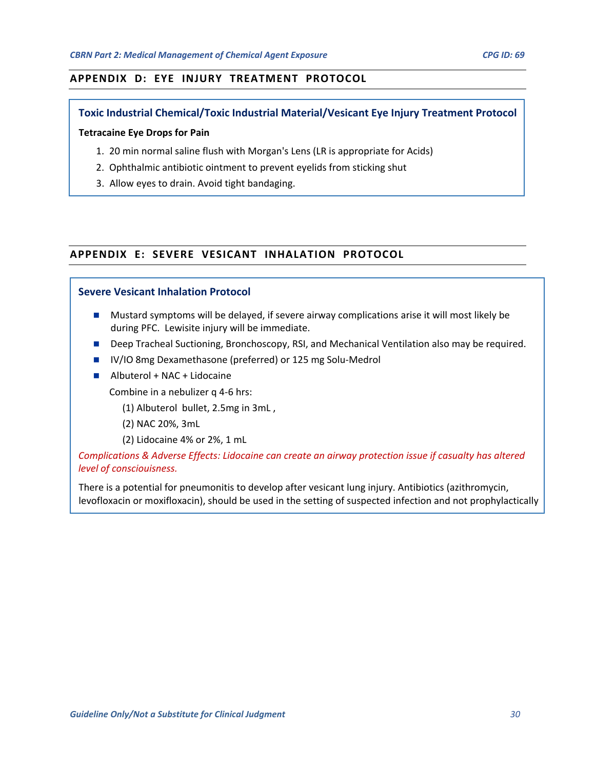# <span id="page-29-0"></span>**APPENDIX D: EYE INJURY TREATMENT PROTOCOL**

## **Toxic Industrial Chemical/Toxic Industrial Material/Vesicant Eye Injury Treatment Protocol**

#### **Tetracaine Eye Drops for Pain**

- 1. 20 min normal saline flush with Morgan's Lens (LR is appropriate for Acids)
- 2. Ophthalmic antibiotic ointment to prevent eyelids from sticking shut
- 3. Allow eyes to drain. Avoid tight bandaging.

# <span id="page-29-1"></span>**APPENDIX E: SEVERE VESICANT INHALATION PROTOCOL**

## **Severe Vesicant Inhalation Protocol**

- **Mustard symptoms will be delayed, if severe airway complications arise it will most likely be** during PFC. Lewisite injury will be immediate.
- Deep Tracheal Suctioning, Bronchoscopy, RSI, and Mechanical Ventilation also may be required.
- **IV/IO 8mg Dexamethasone (preferred) or 125 mg Solu-Medrol**
- Albuterol + NAC + Lidocaine

Combine in a nebulizer q 4-6 hrs:

- (1) Albuterol bullet, 2.5mg in 3mL ,
- (2) NAC 20%, 3mL
- (2) Lidocaine 4% or 2%, 1 mL

# *Complications & Adverse Effects: Lidocaine can create an airway protection issue if casualty has altered level of consciouisness.*

There is a potential for pneumonitis to develop after vesicant lung injury. Antibiotics (azithromycin, levofloxacin or moxifloxacin), should be used in the setting of suspected infection and not prophylactically